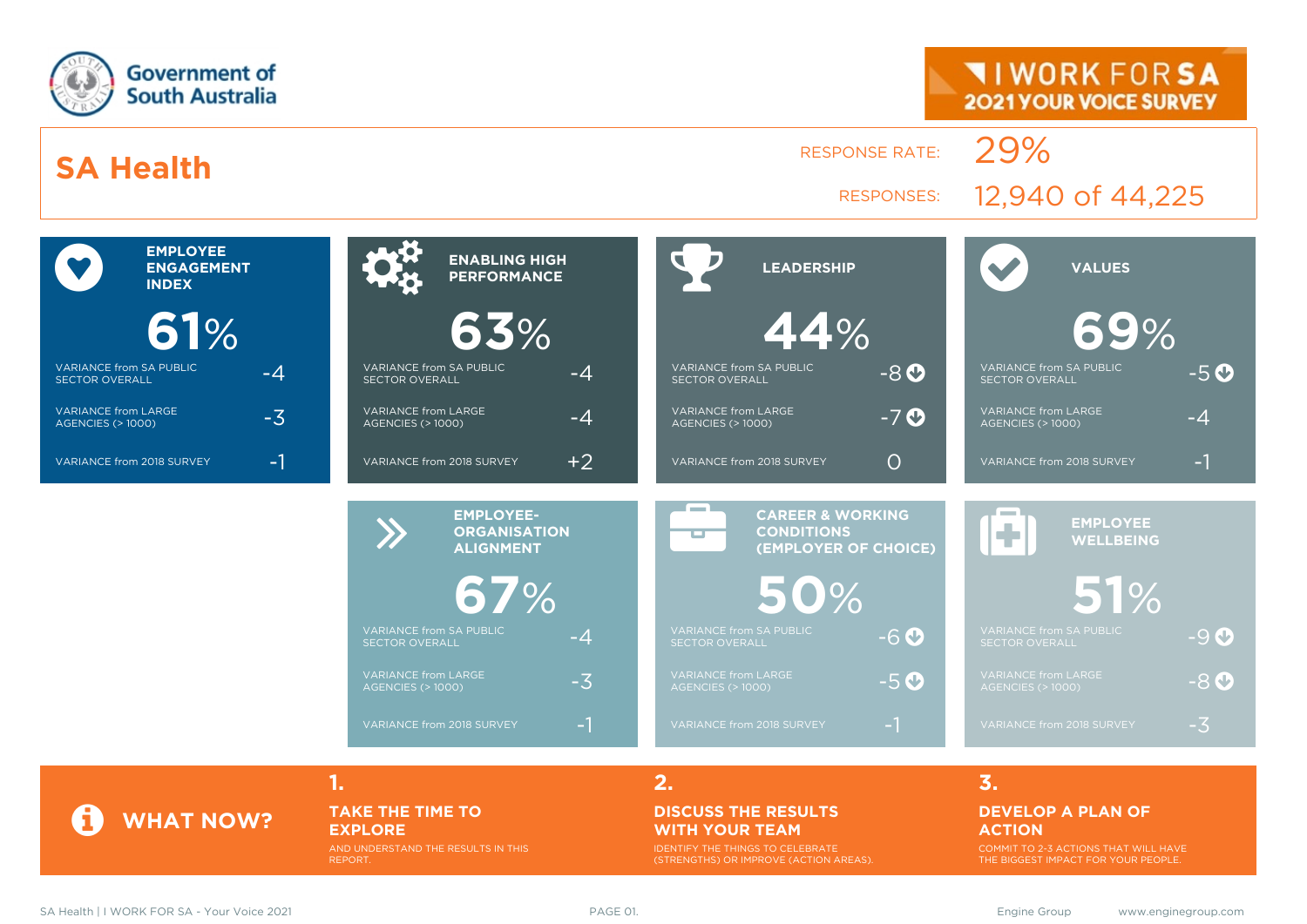

**TAKE THE TIME TO EXPLORE**

AND UNDERSTAND THE RESULTS IN THIS **REPORT** 

#### **DISCUSS THE RESULTS WITH YOUR TEAM**

IDENTIFY THE THINGS TO CELEBRATE (STRENGTHS) OR IMPROVE (ACTION AREAS).

#### **DEVELOP A PLAN OF ACTION**

COMMIT TO 2-3 ACTIONS THAT WILL HAVE THE BIGGEST IMPACT FOR YOUR PEOPLE.

**WHAT NOW?**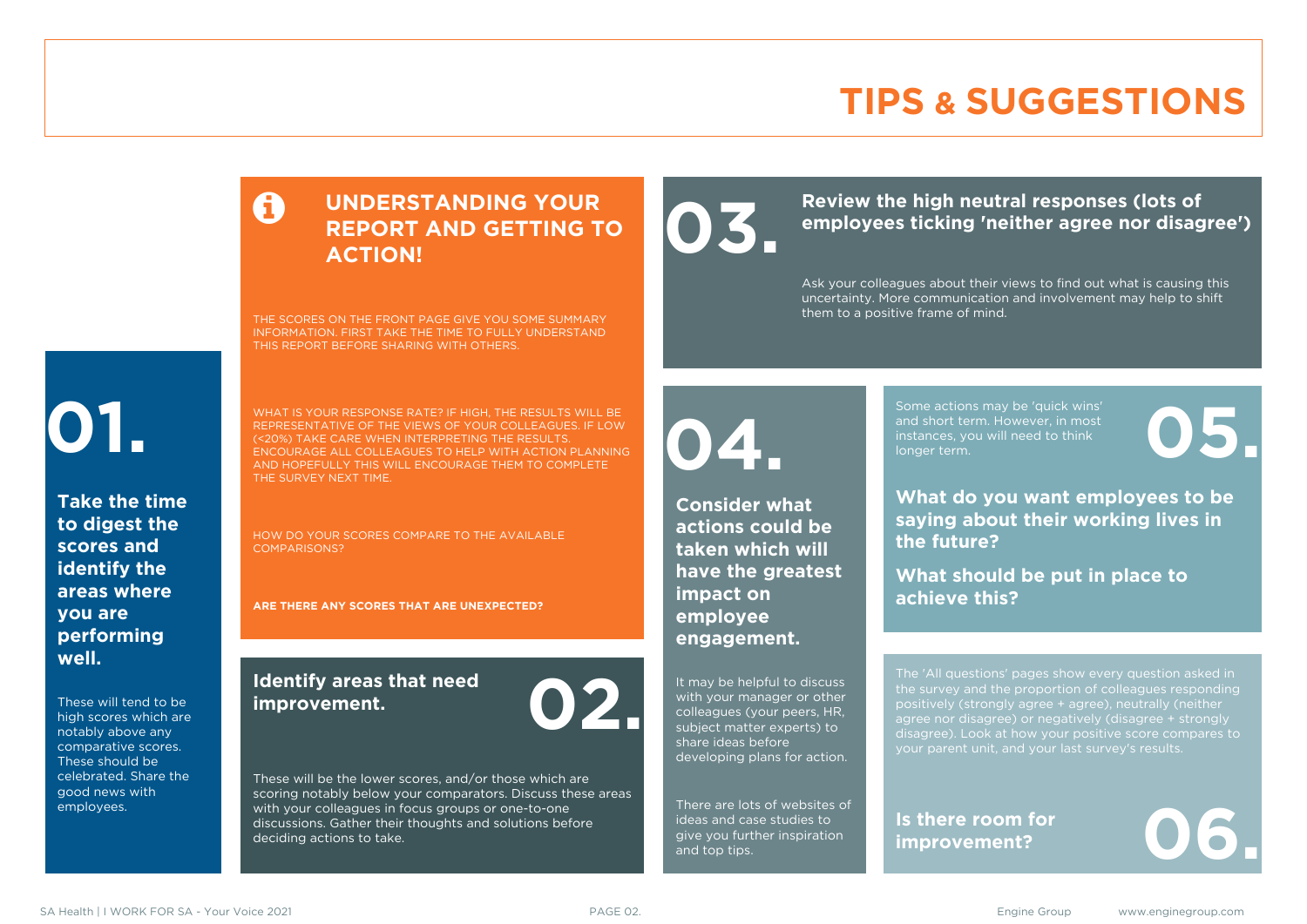### **TIPS & SUGGESTIONS**

#### **UNDERSTANDING YOUR REPORT AND GETTING TO ACTION!**

THE SCORES ON THE FRONT PAGE GIVE YOU SOME SUMMARY INFORMATION. FIRST TAKE THE TIME TO FULLY UNDERSTAND THIS REPORT BEFORE SHARING WITH OTHERS.

# **01.**

**Take the time to digest the scores and identify the areas where you are performing well.**

These will tend to be high scores which are notably above any comparative scores. These should be celebrated. Share the good news with employees.

WHAT IS YOUR RESPONSE RATE? IF HIGH, THE RESULTS WILL BE REPRESENTATIVE OF THE VIEWS OF YOUR COLLEAGUES. IF LOW (<20%) TAKE CARE WHEN INTERPRETING THE RESULTS. ENCOURAGE ALL COLLEAGUES TO HELP WITH ACTION PLANNING AND HOPEFULLY THIS WILL ENCOURAGE THEM TO COMPLETE THE SURVEY NEXT TIME.

HOW DO YOUR SCORES COMPARE TO THE AVAILABLE COMPARISONS?

**ARE THERE ANY SCORES THAT ARE UNEXPECTED?**

#### **Identify areas that need improvement. 02.**

These will be the lower scores, and/or those which are scoring notably below your comparators. Discuss these areas with your colleagues in focus groups or one-to-one discussions. Gather their thoughts and solutions before deciding actions to take.

**04.**

**impact on employee engagement.**

**Consider what actions could be taken which will have the greatest** 

It may be helpful to discuss with your manager or other colleagues (your peers, HR, subject matter experts) to

give you further inspiration

Review the high neutral responses (lots of employees ticking 'neither agree nor disag **employees ticking 'neither agree nor disagree')**

> Ask your colleagues about their views to find out what is causing this uncertainty. More communication and involvement may help to shift them to a positive frame of mind.

> > Some actions may be 'quick wins' and short term. However, in most instances, you will need to think Some actions may be 'quick wins'<br>and short term. However, in most<br>instances, you will need to think<br>longer term.

**What do you want employees to be saying about their working lives in the future?**

**What should be put in place to achieve this?**

The 'All questions' pages show every question asked in positively (strongly agree + agree), neutrally (neither agree nor disagree) or negatively (disagree + strongly disagree). Look at how your positive score compares to your parent unit, and your last survey's results.

**Is there room for** 

Is there room for<br>improvement?

share ideas before developing plans for action. There are lots of websites of ideas and case studies to

and top tips.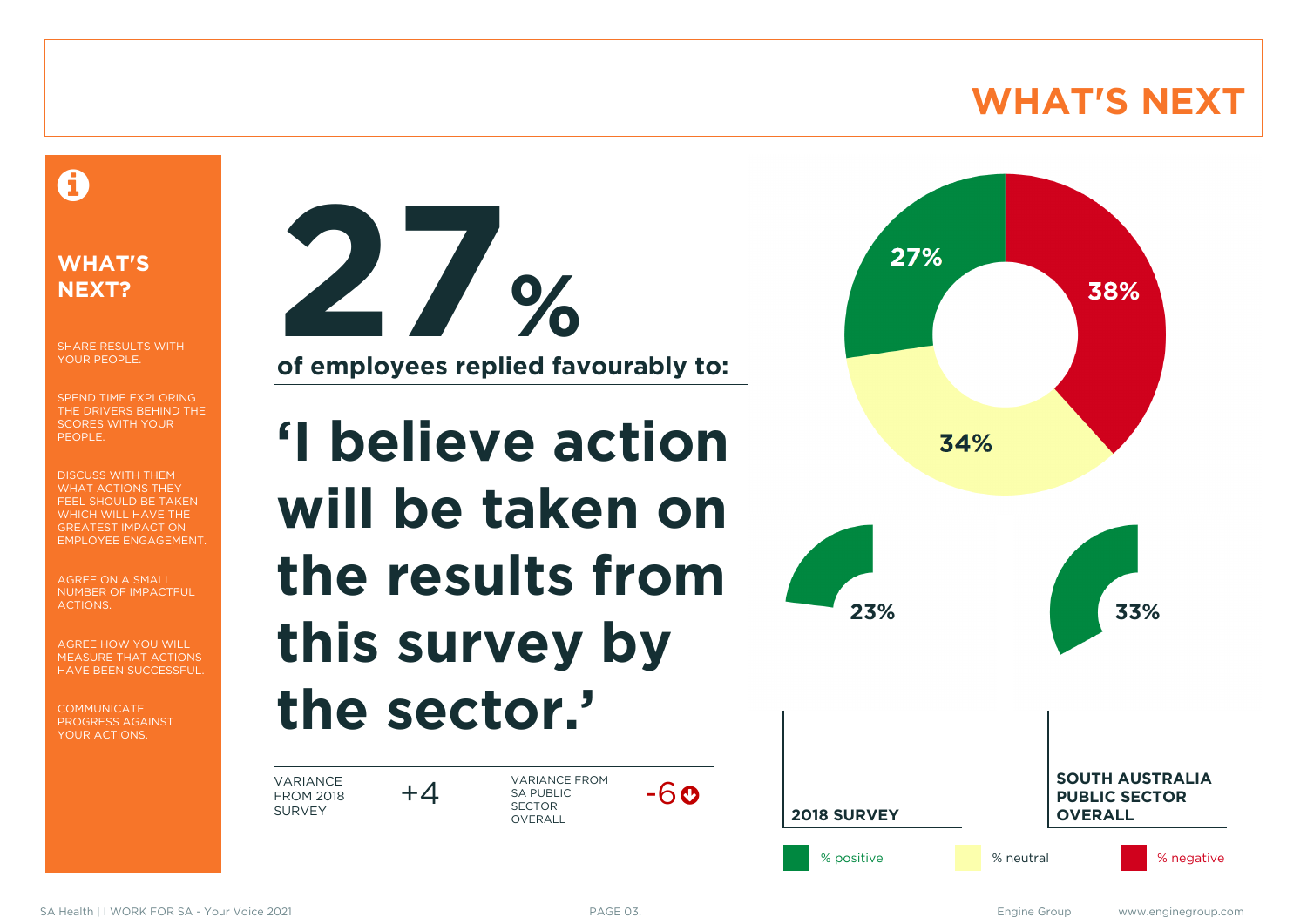### **WHAT'S NEXT**

#### A

#### **WHAT'S NEXT?**

SHARE RESULTS WITH YOUR PEOPLE.

SPEND TIME EXPLORING THE DRIVERS BEHIND THE SCORES WITH YOUR PEOPLE.

DISCUSS WITH THEM WHAT ACTIONS THEY FEEL SHOULD BE TAKEN WHICH WILL HAVE THE GREATEST IMPACT ON EMPLOYEE ENGAGEMENT.

AGREE ON A SMALL NUMBER OF IMPACTFUL ACTIONS.

AGREE HOW YOU WILL MEASURE THAT ACTIONS HAVE BEEN SUCCESSFUL.

**COMMUNICATE** PROGRESS AGAINST YOUR ACTIONS.



**of employees replied favourably to:**

# **'I believe action will be taken on the results from this survey by the sector.'**

VARIANCE FROM 2018 SURVEY

+4 VARIANCE FROM<br>SA PUBLIC SA PUBLIC SECTOR **OVERALL** 

27% 38% 34% **23% 33% SOUTH AUSTRALIA PUBLIC SECTOR 2018 SURVEY OVERALL** % positive **1990 meters** % neutral 1990 meters when we have some that we have some that we have some that we have some that we have some that we have some that we have some that we have some the some that we have some that



 $-60$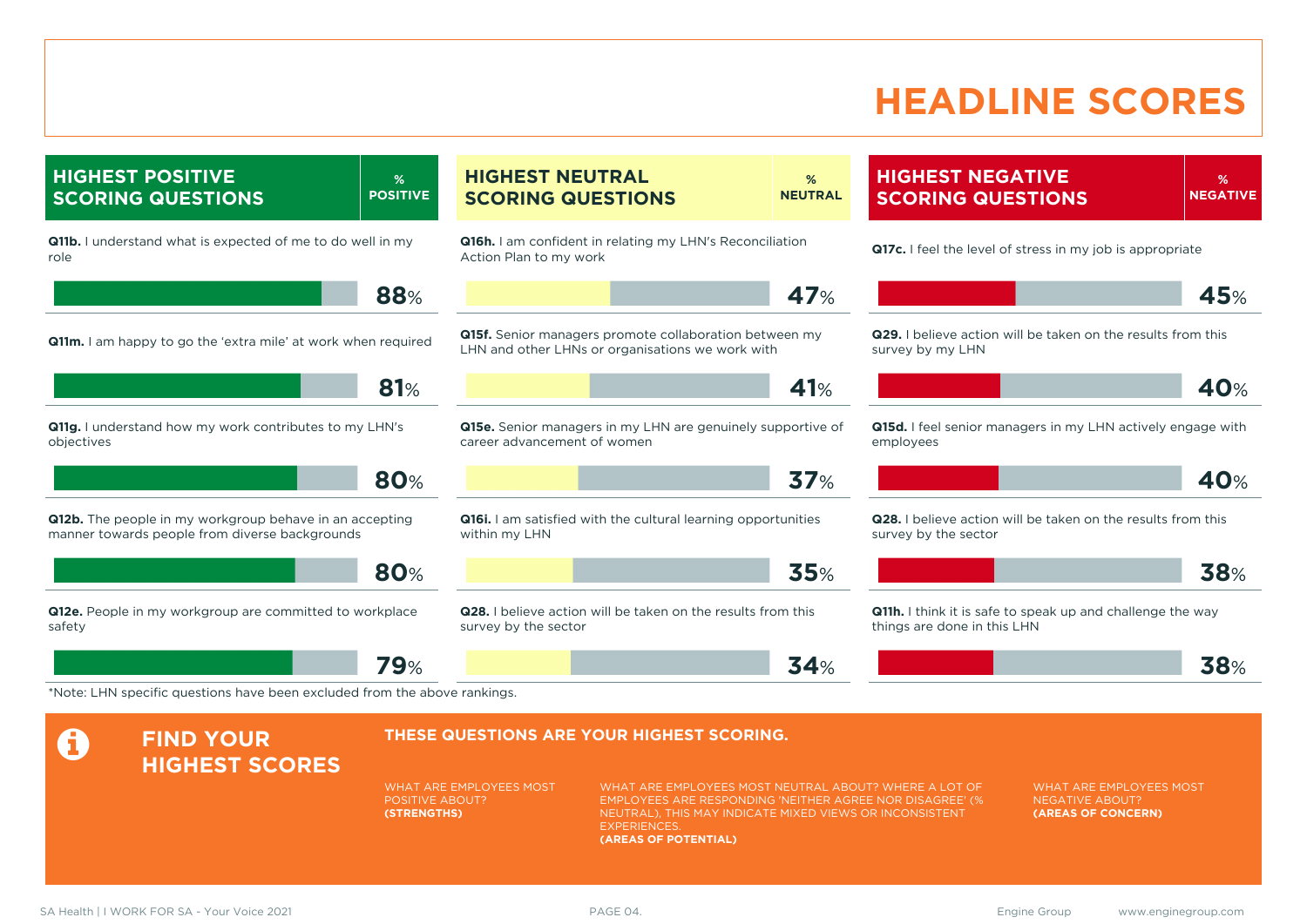#### **HEADLINE SCORES**

**HIGHEST POSITIVE SCORING QUESTIONS % POSITIVE Q11b.** I understand what is expected of me to do well in my role **88**% **Q11m.** I am happy to go the 'extra mile' at work when required **81**% **Q11g.** I understand how my work contributes to my LHN's objectives **80**% **Q12b.** The people in my workgroup behave in an accepting manner towards people from diverse backgrounds **80**% **Q12e.** People in my workgroup are committed to workplace safety **79**% **HIGHEST NEUTRAL SCORING QUESTIONS % NEUTRAL Q16h.** I am confident in relating my LHN's Reconciliation Action Plan to my work **47**% **Q15f.** Senior managers promote collaboration between my LHN and other LHNs or organisations we work with **41**% **Q15e.** Senior managers in my LHN are genuinely supportive of career advancement of women **37**% **Q16i.** I am satisfied with the cultural learning opportunities within my LHN **35**% **Q28.** I believe action will be taken on the results from this survey by the sector **34**% **HIGHEST NEGATIVE SCORING QUESTIONS % NEGATIVE Q17c.** I feel the level of stress in my job is appropriate **45**% **Q29.** I believe action will be taken on the results from this survey by my LHN **40**% **Q15d.** I feel senior managers in my LHN actively engage with employees **40**% **Q28.** I believe action will be taken on the results from this survey by the sector **38**% **Q11h.** I think it is safe to speak up and challenge the way things are done in this LHN **38**% \*Note: LHN specific questions have been excluded from the above rankings. **A** FIND YOUR **HIGHEST SCORES THESE QUESTIONS ARE YOUR HIGHEST SCORING.** WHAT ARE EMPLOYEES MOST POSITIVE ABOUT? **(STRENGTHS)** WHAT ARE EMPLOYEES MOST NEUTRAL ABOUT? WHERE A LOT OF EMPLOYEES ARE RESPONDING 'NEITHER AGREE NOR DISAGREE' (% NEUTRAL), THIS MAY INDICATE MIXED VIEWS OR INCONSISTENT **EXPERIENCES (AREAS OF POTENTIAL)** WHAT ARE EMPLOYEES MOST NEGATIVE ABOUT? **(AREAS OF CONCERN)**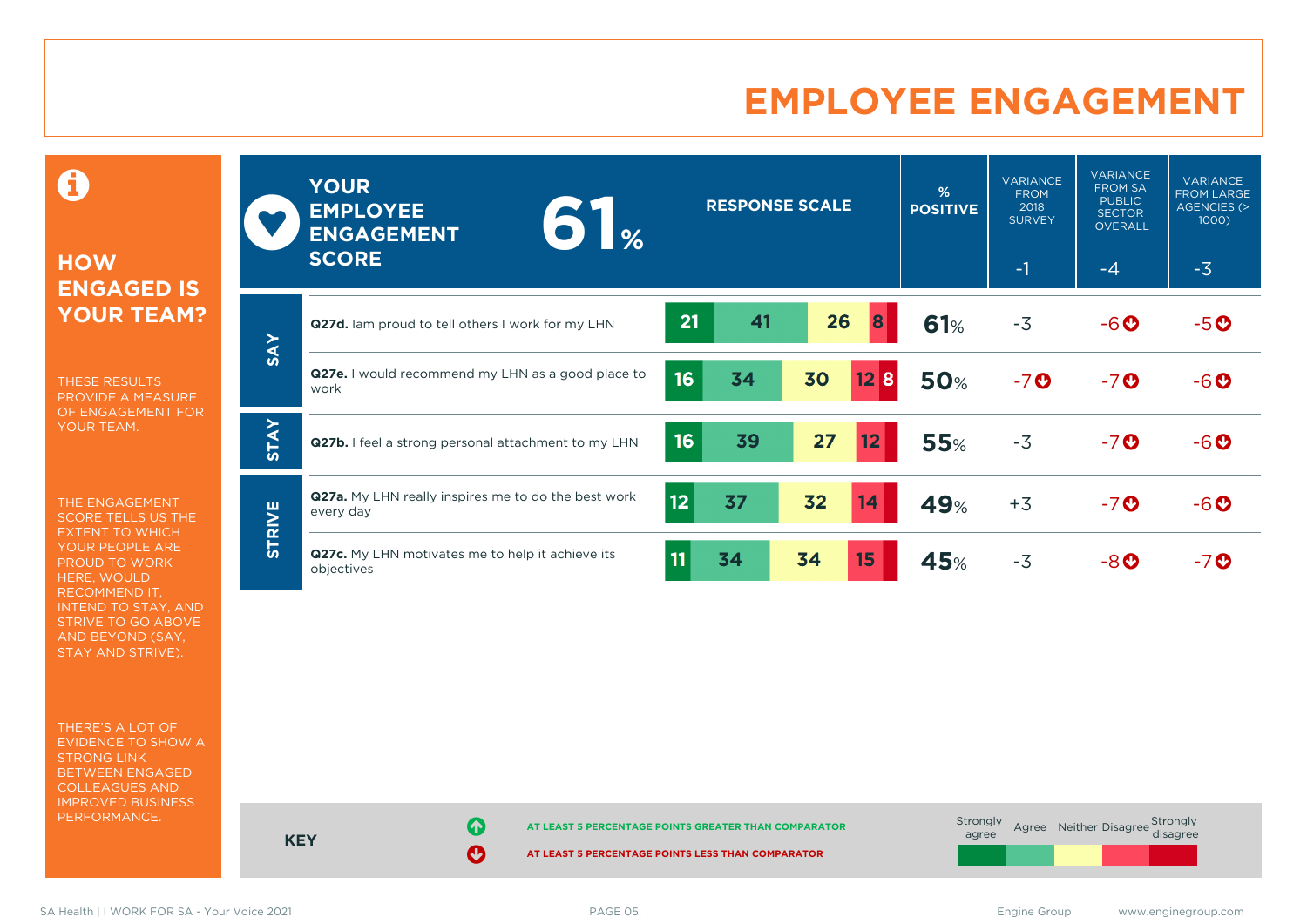### **EMPLOYEE ENGAGEMENT**

0

#### **HOW ENGAGED IS YOUR TEAM?**

THESE RESULTS PROVIDE A MEASURE OF ENGAGEMENT FOR YOUR TEAM.

THE ENGAGEMENT SCORE TELLS US THE EXTENT TO WHICH YOUR PEOPLE ARE PROUD TO WORK HERE, WOULD RECOMMEND IT, INTEND TO STAY, AND STRIVE TO GO ABOVE AND BEYOND (SAY, STAY AND STRIVE).

THERE'S A LOT OF EVIDENCE TO SHOW A STRONG LINK BETWEEN ENGAGED COLLEAGUES AND IMPROVED BUSINESS PERFORMANCE.

|               | <b>YOUR</b><br><b>EMPLOYEE</b><br><b>61</b> %<br><b>ENGAGEMENT</b><br><b>SCORE</b> | <b>RESPONSE SCALE</b> |    |    | %<br><b>POSITIVE</b> | <b>VARIANCE</b><br><b>FROM</b><br>2018<br><b>SURVEY</b><br>$-1$ | <b>VARIANCE</b><br><b>FROM SA</b><br><b>PUBLIC</b><br><b>SECTOR</b><br><b>OVERALL</b><br>$-4$ | <b>VARIANCE</b><br><b>FROM LARGE</b><br>AGENCIES (><br>1000)<br>$-3$ |       |
|---------------|------------------------------------------------------------------------------------|-----------------------|----|----|----------------------|-----------------------------------------------------------------|-----------------------------------------------------------------------------------------------|----------------------------------------------------------------------|-------|
|               | Q27d. Iam proud to tell others I work for my LHN                                   | 21                    | 41 | 26 | 8                    | 61%                                                             | $-3$                                                                                          | $-6o$                                                                | $-5O$ |
| <b>SAY</b>    | Q27e. I would recommend my LHN as a good place to<br>work                          | 16                    | 34 | 30 | $12 \, 8$            | <b>50%</b>                                                      | $-7o$                                                                                         | $-7o$                                                                | $-6o$ |
| <b>STAY</b>   | Q27b. I feel a strong personal attachment to my LHN                                | 16                    | 39 | 27 | 12                   | <b>55%</b>                                                      | $-3$                                                                                          | $-7$ $\odot$                                                         | $-6o$ |
| <b>STRIVE</b> | <b>Q27a.</b> My LHN really inspires me to do the best work<br>every day            | 12                    | 37 | 32 | 14                   | 49%                                                             | $+3$                                                                                          | $-7$ $\odot$                                                         | $-6o$ |
|               | Q27c. My LHN motivates me to help it achieve its<br>objectives                     | 11                    | 34 | 34 | 15                   | 45%                                                             | $-3$                                                                                          | $-8$ $O$                                                             | $-7o$ |



SA Health | I WORK FOR SA - Your Voice 2021 **PAGE 05.** PAGE 05. The same of the same Security of the SA - Your Voice 2021 PAGE 05.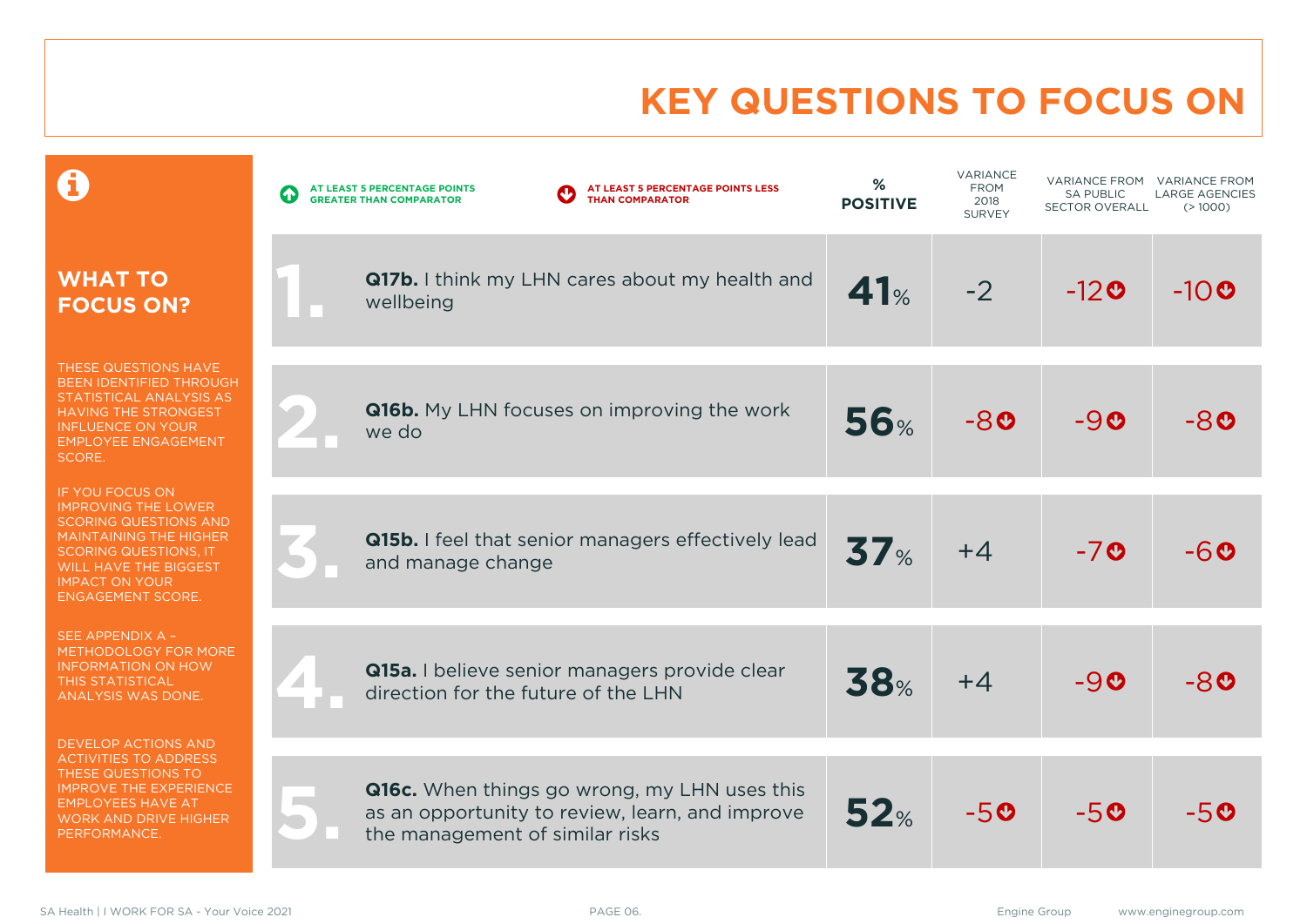# **KEY QUESTIONS TO FOCUS ON**

|                                                                                                                                                                                                                                            | AT LEAST 5 PERCENTAGE POINTS LESS<br>AT LEAST 5 PERCENTAGE POINTS<br>$\blacklozenge$<br><b>GREATER THAN COMPARATOR</b><br><b>THAN COMPARATOR</b> | %<br><b>POSITIVE</b> | <b>VARIANCE</b><br><b>FROM</b><br>2018<br><b>SURVEY</b> | <b>VARIANCE FROM</b><br><b>SA PUBLIC</b><br>SECTOR OVERALL | <b>VARIANCE FROM</b><br><b>LARGE AGENCIES</b><br>(>1000) |
|--------------------------------------------------------------------------------------------------------------------------------------------------------------------------------------------------------------------------------------------|--------------------------------------------------------------------------------------------------------------------------------------------------|----------------------|---------------------------------------------------------|------------------------------------------------------------|----------------------------------------------------------|
| <b>WHAT TO</b><br><b>FOCUS ON?</b>                                                                                                                                                                                                         | Q17b. I think my LHN cares about my health and<br>wellbeing                                                                                      | 41%                  | $-2$                                                    | $-120$                                                     | $-10$ <sup><math>\odot</math></sup>                      |
| THESE QUESTIONS HAVE<br><b>BEEN IDENTIFIED THROUGH</b><br>STATISTICAL ANALYSIS AS<br>HAVING THE STRONGEST<br><b>INFLUENCE ON YOUR</b><br><b>EMPLOYEE ENGAGEMENT</b><br>SCORE.                                                              | Q16b. My LHN focuses on improving the work<br>we do                                                                                              | 56%                  | -80                                                     | -90                                                        | -80                                                      |
| <b>IF YOU FOCUS ON</b><br><b>IMPROVING THE LOWER</b><br><b>SCORING QUESTIONS AND</b><br><b>MAINTAINING THE HIGHER</b><br><b>SCORING QUESTIONS, IT</b><br><b>WILL HAVE THE BIGGEST</b><br><b>IMPACT ON YOUR</b><br><b>ENGAGEMENT SCORE.</b> | Q15b. I feel that senior managers effectively lead<br>and manage change                                                                          | 37 <sub>%</sub>      | $+4$                                                    | $-70$                                                      | -60                                                      |
| SEE APPENDIX A -<br>METHODOLOGY FOR MORE<br><b>INFORMATION ON HOW</b><br><b>THIS STATISTICAL</b><br><b>ANALYSIS WAS DONE.</b>                                                                                                              | Q15a. I believe senior managers provide clear<br>direction for the future of the LHN                                                             | <b>38%</b>           | $+4$                                                    | $-90$                                                      | -80                                                      |
| DEVELOP ACTIONS AND<br><b>ACTIVITIES TO ADDRESS</b><br>THESE QUESTIONS TO<br><b>IMPROVE THE EXPERIENCE</b><br><b>EMPLOYEES HAVE AT</b><br><b>WORK AND DRIVE HIGHER</b><br>PERFORMANCE.                                                     | Q16c. When things go wrong, my LHN uses this<br>as an opportunity to review, learn, and improve<br>the management of similar risks               | 52%                  | $-50$                                                   | $-50$                                                      | -50                                                      |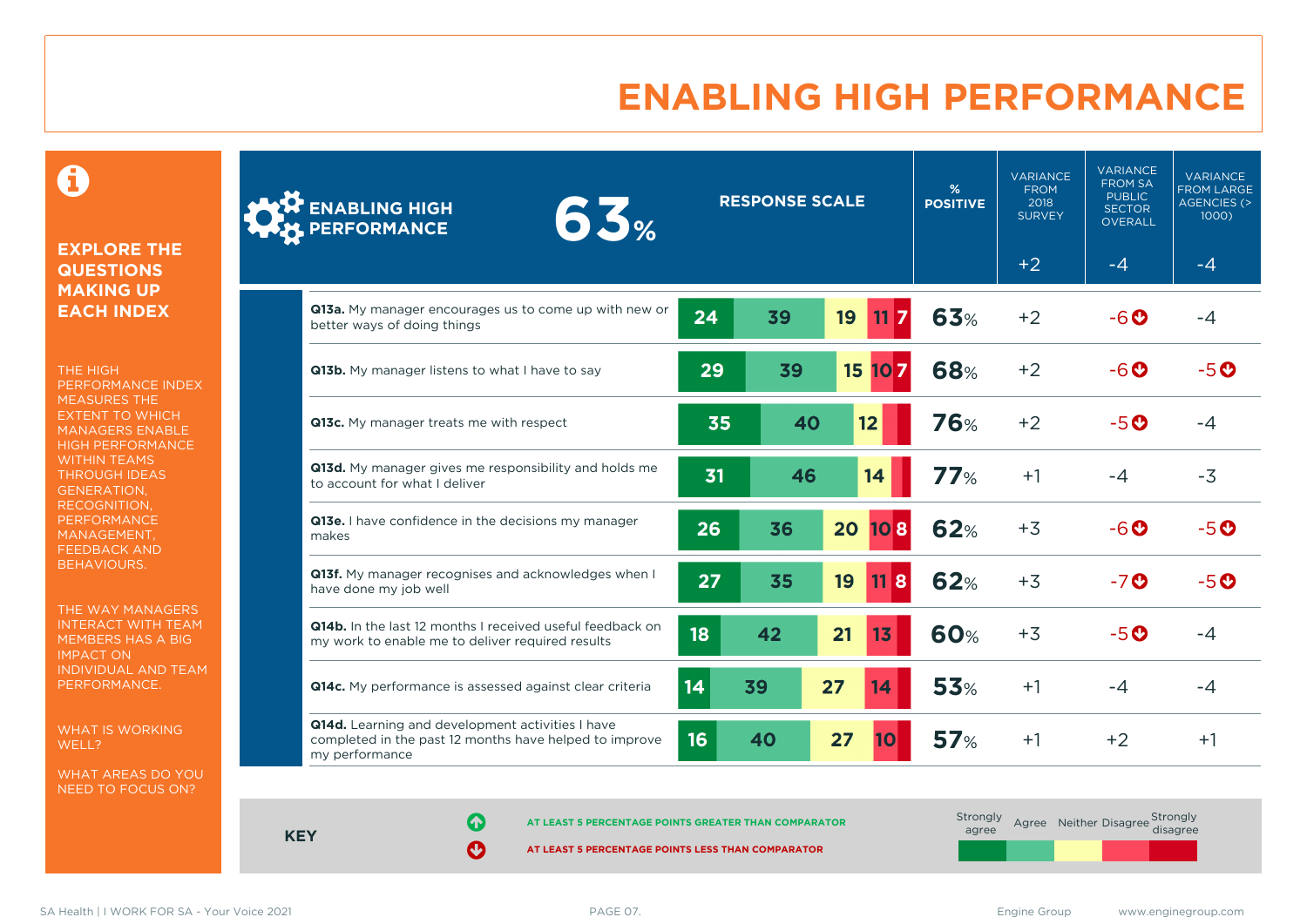### **ENABLING HIGH PERFORMANCE**

**% POSITIVE** VARIANCE FROM 2018 SURVEY

**VARIANCE** FROM SA **PUBLIC SECTOR** OVERALL

VARIANCE FROM LARGE AGENCIES (> 1000)

0

#### **EXPLORE THE QUESTIONS MAKING UP EACH INDEX**

THE HIGH PERFORMANCE INDEX MEASURES THE EXTENT TO WHICH MANAGERS ENABLE HIGH PERFORMANCE WITHIN TEAMS THROUGH IDEAS GENERATION, RECOGNITION, PERFORMANCE MANAGEMENT, FEEDBACK AND BEHAVIOURS.

THE WAY MANAGERS INTERACT WITH TEAM MEMBERS HAS A BIG IMPACT ON INDIVIDUAL AND TEAM PERFORMANCE.

WHAT IS WORKING WELL?

WHAT AREAS DO YOU NEED TO FOCUS ON?

| ENABLING HIGH |
|---------------|

|                                                                                                                              |    |    |    |          |            | $+2$ | -4           | -4           |
|------------------------------------------------------------------------------------------------------------------------------|----|----|----|----------|------------|------|--------------|--------------|
| Q13a. My manager encourages us to come up with new or<br>better ways of doing things                                         | 24 | 39 | 19 | 11<br>17 | 63%        | $+2$ | -6 O         | -4           |
| Q13b. My manager listens to what I have to say                                                                               | 29 | 39 |    | 15 10 7  | 68%        | $+2$ | $-6o$        | $-5o$        |
| Q13c. My manager treats me with respect                                                                                      | 35 | 40 |    | 12       | <b>76%</b> | $+2$ | $-5O$        | -4           |
| Q13d. My manager gives me responsibility and holds me<br>to account for what I deliver                                       | 31 | 46 |    | 14       | 77%        | $+1$ | -4           | $-3$         |
| Q13e. I have confidence in the decisions my manager<br>makes                                                                 | 26 | 36 | 20 | 108      | <b>62%</b> | $+3$ | $-6o$        | $-5o$        |
| Q13f. My manager recognises and acknowledges when I<br>have done my job well                                                 | 27 | 35 | 19 | 118      | 62%        | $+3$ | $-7$ $\odot$ | $-5$ $\odot$ |
| <b>Q14b.</b> In the last 12 months I received useful feedback on<br>my work to enable me to deliver required results         | 18 | 42 | 21 | 13       | 60%        | $+3$ | $-5O$        | -4           |
| Q14c. My performance is assessed against clear criteria                                                                      | 14 | 39 | 27 | 14       | 53%        | $+1$ | -4           | -4           |
| Q14d. Learning and development activities I have<br>completed in the past 12 months have helped to improve<br>my performance | 16 | 40 | 27 | 10       | 57%        | $+1$ | $+2$         | $+1$         |

**RESPONSE SCALE**

**KEY**

**AT LEAST 5 PERCENTAGE POINTS GREATER THAN COMPARATOR** 

**AT LEAST 5 PERCENTAGE POINTS LESS THAN COMPARATOR** 

| Strongly<br>agree |  | Agree Neither Disagree Strongly<br>disagree |  |
|-------------------|--|---------------------------------------------|--|
|                   |  |                                             |  |

**PERFORMANCE 63%**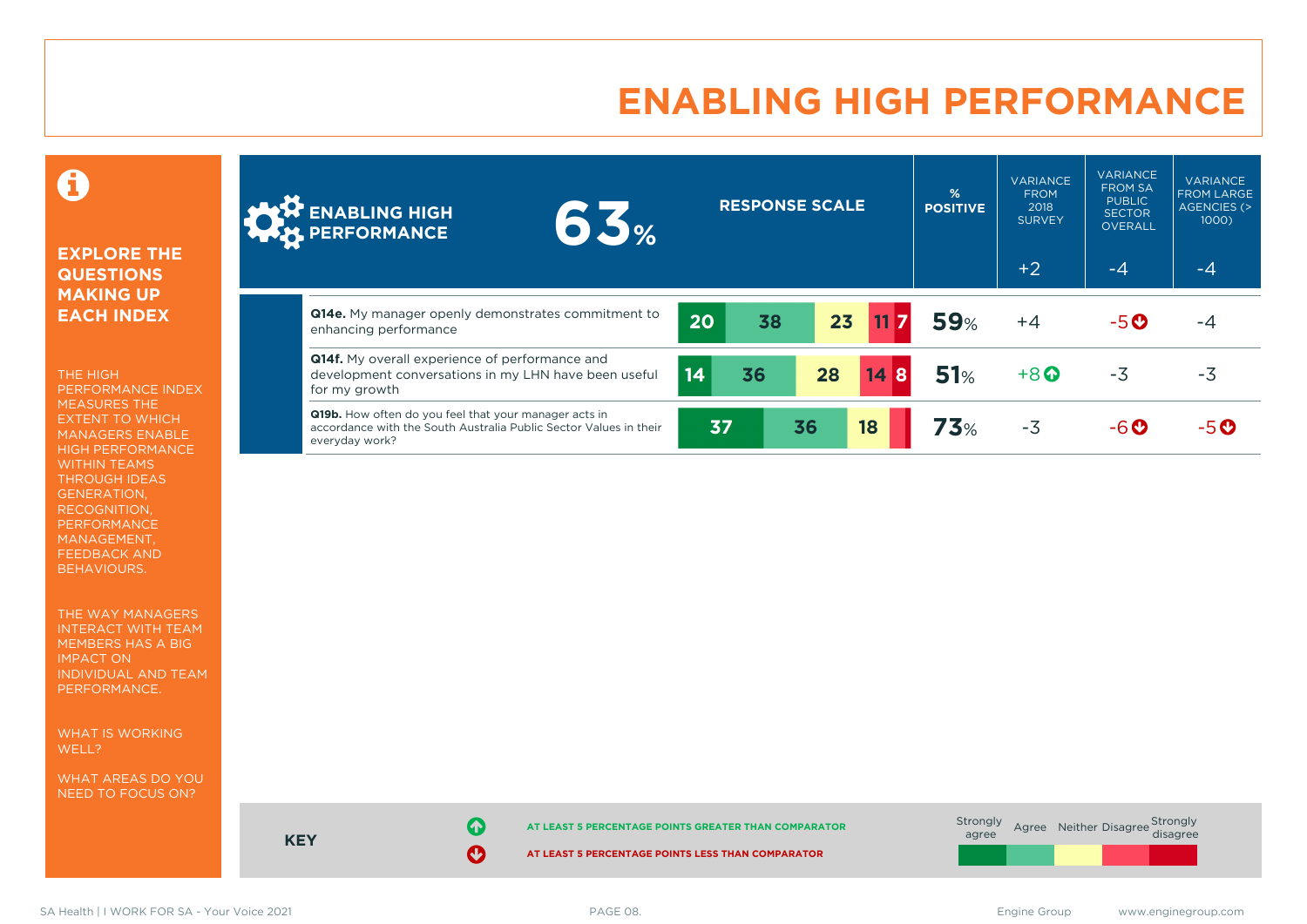### **ENABLING HIGH PERFORMANCE**



#### **EXPLORE THE QUESTIONS MAKING UP EACH INDEX**

THE HIGH PERFORMANCE INDEX MEASURES THE EXTENT TO WHICH MANAGERS ENABLE HIGH PERFORMANCE WITHIN TEAMS THROUGH IDEAS GENERATION, RECOGNITION, PERFORMANCE MANAGEMENT, FEEDBACK AND BEHAVIOURS.

THE WAY MANAGERS INTERACT WITH TEAM MEMBERS HAS A BIG IMPACT ON INDIVIDUAL AND TEAM PERFORMANCE.

WHAT IS WORKING WELL?

WHAT AREAS DO YOU NEED TO FOCUS ON?

| <b>ANY ENABLING HIGH</b><br>6.5%                                                                                                             |          | <b>RESPONSE SCALE</b> |         | %<br><b>POSITIVE</b> | <b>VARIANCE</b><br><b>FROM</b><br>2018<br><b>SURVEY</b> | <b>VARIANCE</b><br><b>FROM SA</b><br><b>PUBLIC</b><br><b>SECTOR</b><br>OVERALL | <b>VARIANCE</b><br><b>FROM LARGE</b><br>AGENCIES (><br>1000) |
|----------------------------------------------------------------------------------------------------------------------------------------------|----------|-----------------------|---------|----------------------|---------------------------------------------------------|--------------------------------------------------------------------------------|--------------------------------------------------------------|
|                                                                                                                                              |          |                       |         |                      | $+2$                                                    | $-4$                                                                           | -4                                                           |
| Q14e. My manager openly demonstrates commitment to<br>enhancing performance                                                                  | 20       | 23<br>38              | 117     | <b>59%</b>           | $+4$                                                    | $-5$ $\odot$                                                                   | -4                                                           |
| <b>Q14f.</b> My overall experience of performance and<br>development conversations in my LHN have been useful<br>for my growth               | 36<br>14 | 28                    | 14<br>8 | 51%                  | $+8$ <sup><math>\odot</math></sup>                      | $-3$                                                                           | -3                                                           |
| Q19b. How often do you feel that your manager acts in<br>accordance with the South Australia Public Sector Values in their<br>everyday work? | 37       | 36                    | 18      | 73%                  | $-3$                                                    | -60                                                                            | $-5o$                                                        |



**KEY**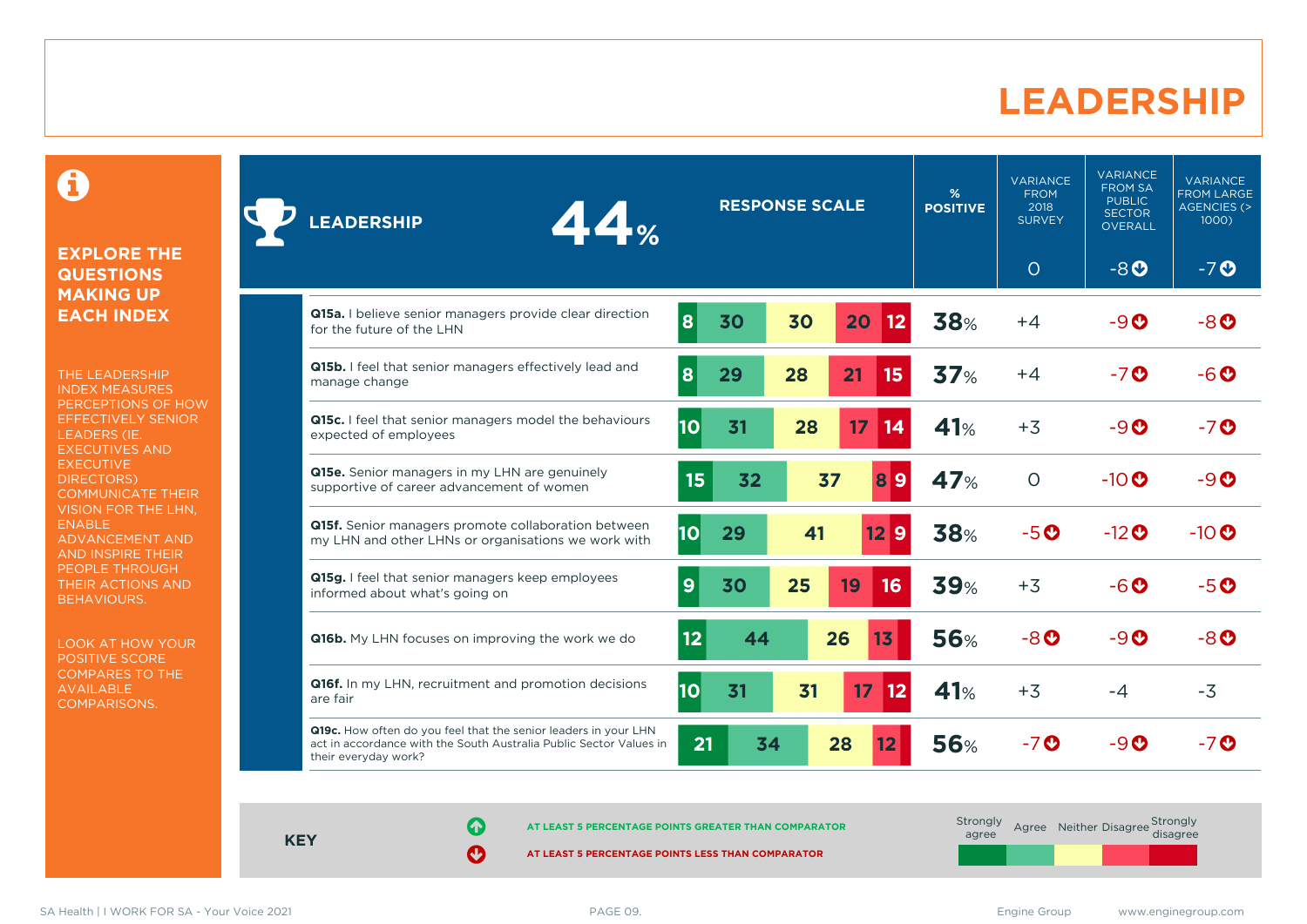#### **LEADERSHIP**

0

#### **EXPLORE THE QUESTIONS MAKING UP EACH INDEX**

THE LEADERSHIP INDEX MEASURES PERCEPTIONS OF HOW EFFECTIVELY SENIOR LEADERS (IE. EXECUTIVES AND **EXECUTIVE** DIRECTORS) COMMUNICATE THEIR VISION FOR THE LHN, ENABLE ADVANCEMENT AND AND INSPIRE THEIR PEOPLE THROUGH THEIR ACTIONS AND BEHAVIOURS.

LOOK AT HOW YOUR POSITIVE SCORE COMPARES TO THE AVAILABLE COMPARISONS.

| 44%<br><b>LEADERSHIP</b>                                                                                                                                      | <b>RESPONSE SCALE</b> |    | %<br><b>POSITIVE</b> | <b>VARIANCE</b><br><b>FROM</b><br>2018<br><b>SURVEY</b> | <b>VARIANCE</b><br><b>FROM SA</b><br><b>PUBLIC</b><br><b>SECTOR</b><br><b>OVERALL</b> | <b>VARIANCE</b><br><b>FROM LARGE</b><br><b>AGENCIES (&gt;</b><br>1000) |              |                    |                                    |
|---------------------------------------------------------------------------------------------------------------------------------------------------------------|-----------------------|----|----------------------|---------------------------------------------------------|---------------------------------------------------------------------------------------|------------------------------------------------------------------------|--------------|--------------------|------------------------------------|
|                                                                                                                                                               |                       |    |                      |                                                         |                                                                                       |                                                                        | $\circ$      | $-8$ <sup>O</sup>  | $-7o$                              |
| Q15a. I believe senior managers provide clear direction<br>for the future of the LHN                                                                          | 8                     | 30 | 30                   | 20                                                      | 12                                                                                    | 38%                                                                    | $+4$         | $-9O$              | $-8$ <sup><math>\odot</math></sup> |
| Q15b. I feel that senior managers effectively lead and<br>manage change                                                                                       | 8                     | 29 | 28                   | 21                                                      | 15                                                                                    | 37%                                                                    | $+4$         | $-7o$              | $-6o$                              |
| Q15c. I feel that senior managers model the behaviours<br>expected of employees                                                                               | 10                    | 31 | 28                   | 17                                                      | 14                                                                                    | 41%                                                                    | $+3$         | $-9o$              | $-7o$                              |
| Q15e. Senior managers in my LHN are genuinely<br>supportive of career advancement of women                                                                    | 15                    | 32 |                      | 37                                                      | 89                                                                                    | <b>47%</b>                                                             | $\circ$      | $-10$ <sup>O</sup> | $-9o$                              |
| Q15f. Senior managers promote collaboration between<br>my LHN and other LHNs or organisations we work with                                                    | 10                    | 29 | 41                   | 129                                                     |                                                                                       | <b>38%</b>                                                             | $-5o$        | $-12$ <sup>O</sup> | $-10$ $\odot$                      |
| Q15g. I feel that senior managers keep employees<br>informed about what's going on                                                                            | 9                     | 30 | 25                   | 19                                                      | 16                                                                                    | <b>39%</b>                                                             | $+3$         | $-6o$              | $-5o$                              |
| Q16b. My LHN focuses on improving the work we do                                                                                                              | 12                    | 44 |                      | 26<br>13                                                |                                                                                       | <b>56%</b>                                                             | $-8o$        | $-9o$              | $-8o$                              |
| Q16f. In my LHN, recruitment and promotion decisions<br>are fair                                                                                              | 10                    | 31 | 31                   | 17 <sup>2</sup>                                         | 12                                                                                    | 41%                                                                    | $+3$         | $-4$               | $-3$                               |
| Q19c. How often do you feel that the senior leaders in your LHN<br>act in accordance with the South Australia Public Sector Values in<br>their everyday work? | 21                    | 34 |                      | 28                                                      |                                                                                       | <b>56%</b>                                                             | $-7$ $\odot$ | $-9$ $o$           | $-7o$                              |

**KEY**

**AT LEAST 5 PERCENTAGE POINTS GREATER THAN COMPARATOR**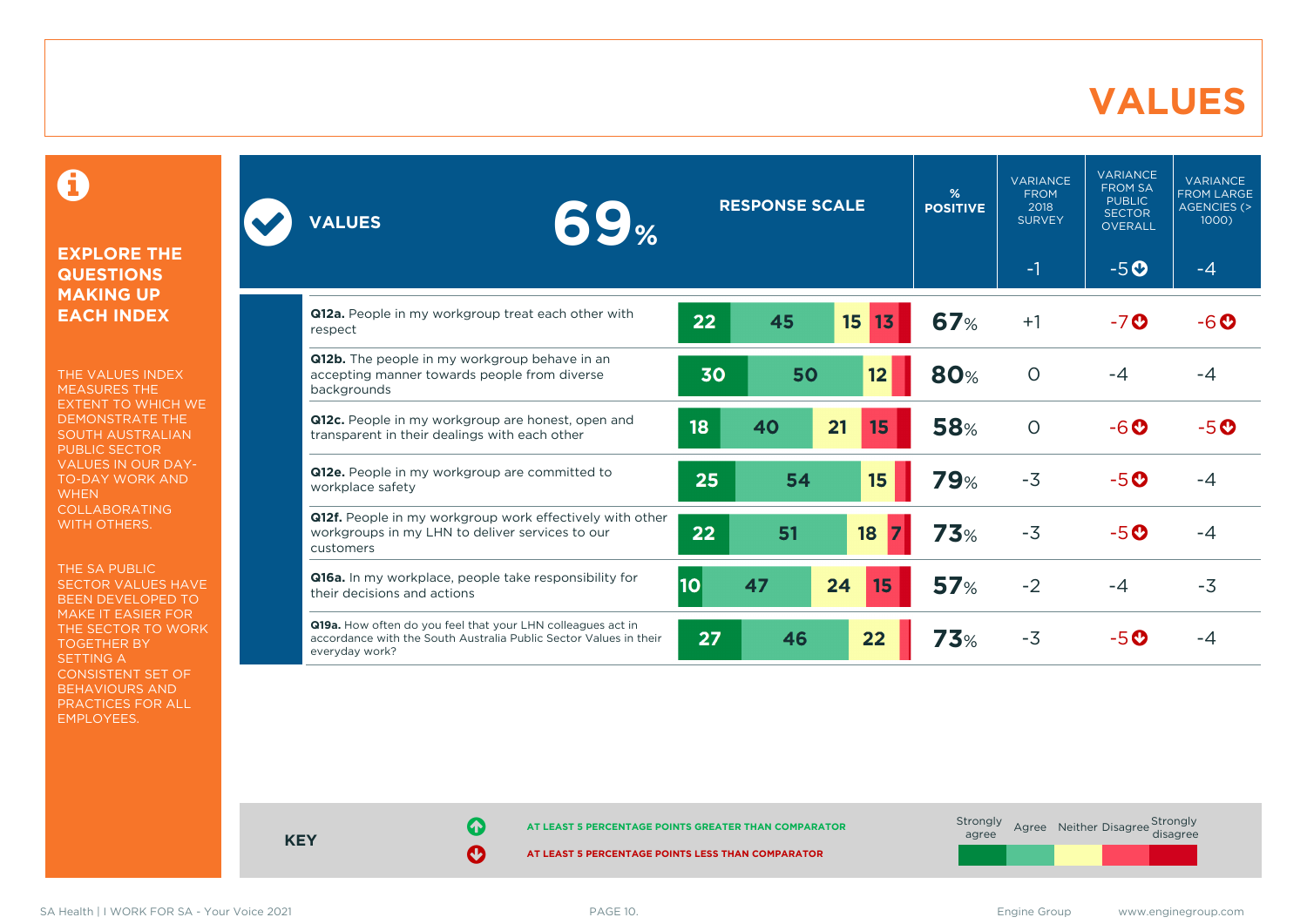#### **VALUES**

0

#### **EXPLORE THE QUESTIONS MAKING UP EACH INDEX**

THE VALUES INDEX MEASURES THE EXTENT TO WHICH WE DEMONSTRATE THE SOUTH AUSTRALIAN PUBLIC SECTOR VALUES IN OUR DAY-TO-DAY WORK AND **WHEN** COLLABORATING WITH OTHERS.

THE SA PUBLIC SECTOR VALUES HAVE BEEN DEVELOPED TO MAKE IT EASIER FOR THE SECTOR TO WORK TOGETHER BY SETTING A CONSISTENT SET OF BEHAVIOURS AND PRACTICES FOR ALL EMPLOYEES.

| 69 <sub>%</sub><br><b>VALUES</b>                                                                                                                   |           | <b>RESPONSE SCALE</b> |                      | %<br><b>POSITIVE</b> | <b>VARIANCE</b><br><b>FROM</b><br>2018<br><b>SURVEY</b> | <b>VARIANCE</b><br><b>FROM SA</b><br><b>PUBLIC</b><br><b>SECTOR</b><br><b>OVERALL</b> | <b>VARIANCE</b><br><b>FROM LARGE</b><br>AGENCIES (><br>1000) |
|----------------------------------------------------------------------------------------------------------------------------------------------------|-----------|-----------------------|----------------------|----------------------|---------------------------------------------------------|---------------------------------------------------------------------------------------|--------------------------------------------------------------|
|                                                                                                                                                    |           |                       |                      |                      | $-1$                                                    | $-5O$                                                                                 | -4                                                           |
| Q12a. People in my workgroup treat each other with<br>respect                                                                                      | 22        | 45                    | 15<br>1 <sub>3</sub> | <b>67%</b>           | $+1$                                                    | $-7o$                                                                                 | $-6$ $\odot$                                                 |
| Q12b. The people in my workgroup behave in an<br>accepting manner towards people from diverse<br>backgrounds                                       | 30        | 50                    | 12                   | <b>80%</b>           | $\circ$                                                 | $-4$                                                                                  | -4                                                           |
| Q12c. People in my workgroup are honest, open and<br>transparent in their dealings with each other                                                 | 18        | 40                    | 21<br>15             | <b>58%</b>           | $\circ$                                                 | $-6o$                                                                                 | $-5$ $\odot$                                                 |
| Q12e. People in my workgroup are committed to<br>workplace safety                                                                                  | 25        | 54                    | 15                   | <b>79%</b>           | $-3$                                                    | $-5$ $\odot$                                                                          | -4                                                           |
| Q12f. People in my workgroup work effectively with other<br>workgroups in my LHN to deliver services to our<br>customers                           | 22        | 51                    | 18                   | 73%                  | $-3$                                                    | $-5o$                                                                                 | $-4$                                                         |
| Q16a. In my workplace, people take responsibility for<br>their decisions and actions                                                               | <b>10</b> | 47                    | 24<br>15             | 57%                  | $-2$                                                    | -4                                                                                    | $-3$                                                         |
| Q19a. How often do you feel that your LHN colleagues act in<br>accordance with the South Australia Public Sector Values in their<br>everyday work? | 27        | 46                    | 22                   | 73%                  | $-3$                                                    | $-5$ $\odot$                                                                          | $-4$                                                         |



**KEY**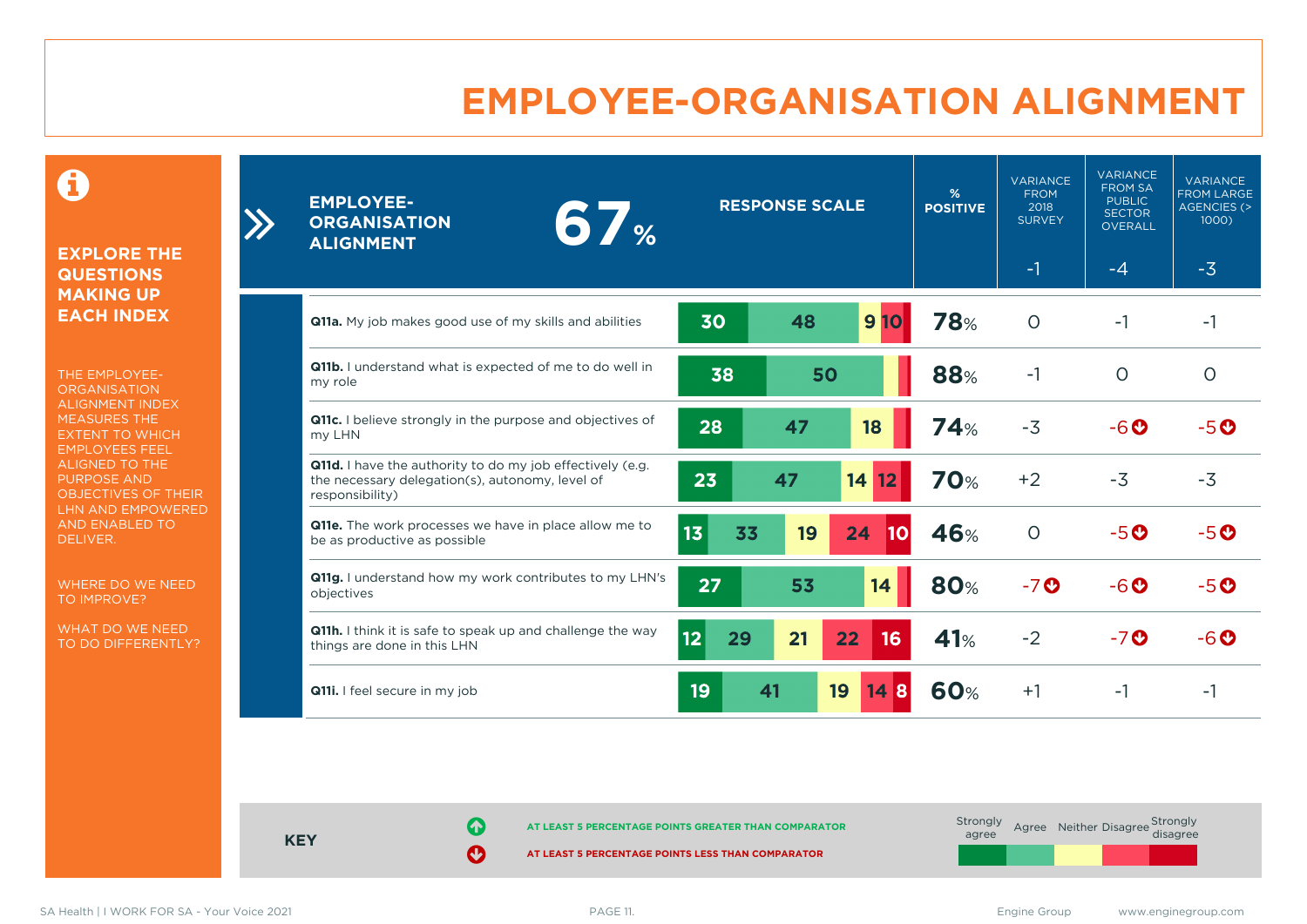### **EMPLOYEE-ORGANISATION ALIGNMENT**

0

**EXPLORE THE QUESTIONS MAKING UP EACH INDEX**

 $\sum_{i=1}^{n}$ 

THE EMPLOYEE-**ORGANISATION** ALIGNMENT INDEX MEASURES THE EXTENT TO WHICH EMPLOYEES FEEL ALIGNED TO THE PURPOSE AND OBJECTIVES OF THEIR LHN AND EMPOWERED AND ENABLED TO DELIVER.

WHERE DO WE NEED TO IMPROVE?

WHAT DO WE NEED TO DO DIFFERENTLY?

| <b>EMPLOYEE-</b><br><b>67%</b><br><b>ORGANISATION</b><br><b>ALIGNMENT</b>                                                       |                       | <b>RESPONSE SCALE</b> |           | %<br><b>POSITIVE</b> | <b>VARIANCE</b><br><b>FROM</b><br>2018<br><b>SURVEY</b> | <b>VARIANCE</b><br><b>FROM SA</b><br><b>PUBLIC</b><br><b>SECTOR</b><br><b>OVERALL</b> | <b>VARIANCE</b><br><b>FROM LARGE</b><br><b>AGENCIES (&gt;</b><br>1000) |
|---------------------------------------------------------------------------------------------------------------------------------|-----------------------|-----------------------|-----------|----------------------|---------------------------------------------------------|---------------------------------------------------------------------------------------|------------------------------------------------------------------------|
|                                                                                                                                 |                       |                       |           |                      | $-1$                                                    | -4                                                                                    | $-3$                                                                   |
| Q11a. My job makes good use of my skills and abilities                                                                          | 30                    | 48                    | 910       | <b>78%</b>           | $\circ$                                                 | $-1$                                                                                  | -1                                                                     |
| <b>Q11b.</b> I understand what is expected of me to do well in<br>my role                                                       | 38                    | 50                    |           | 88%                  | $-1$                                                    | O                                                                                     | $\Omega$                                                               |
| Q11c. I believe strongly in the purpose and objectives of<br>my LHN                                                             | 28                    | 47                    | 18        | 74%                  | $-3$                                                    | $-6o$                                                                                 | $-5o$                                                                  |
| Q11d. I have the authority to do my job effectively (e.g.<br>the necessary delegation(s), autonomy, level of<br>responsibility) | 23                    | 47                    | 14 12     | <b>70%</b>           | $+2$                                                    | $-3$                                                                                  | $-3$                                                                   |
| Q11e. The work processes we have in place allow me to<br>be as productive as possible                                           | 13<br>33              | 19                    | 24<br>10  | 46%                  | $\Omega$                                                | $-5o$                                                                                 | $-5O$                                                                  |
| Q11g. I understand how my work contributes to my LHN's<br>objectives                                                            | 27                    | 53                    | 14        | <b>80%</b>           | $-7o$                                                   | $-6o$                                                                                 | $-5o$                                                                  |
| Q11h. I think it is safe to speak up and challenge the way<br>things are done in this LHN                                       | 12 <sub>2</sub><br>29 | 21                    | 22<br>16  | 41%                  | $-2$                                                    | $-7o$                                                                                 | -6 O                                                                   |
| Q11i. I feel secure in my job                                                                                                   | 19                    | 41                    | 19<br>14B | <b>60%</b>           | $+1$                                                    | -1                                                                                    | -1                                                                     |

**KEY**

**AT LEAST 5 PERCENTAGE POINTS GREATER THAN COMPARATOR**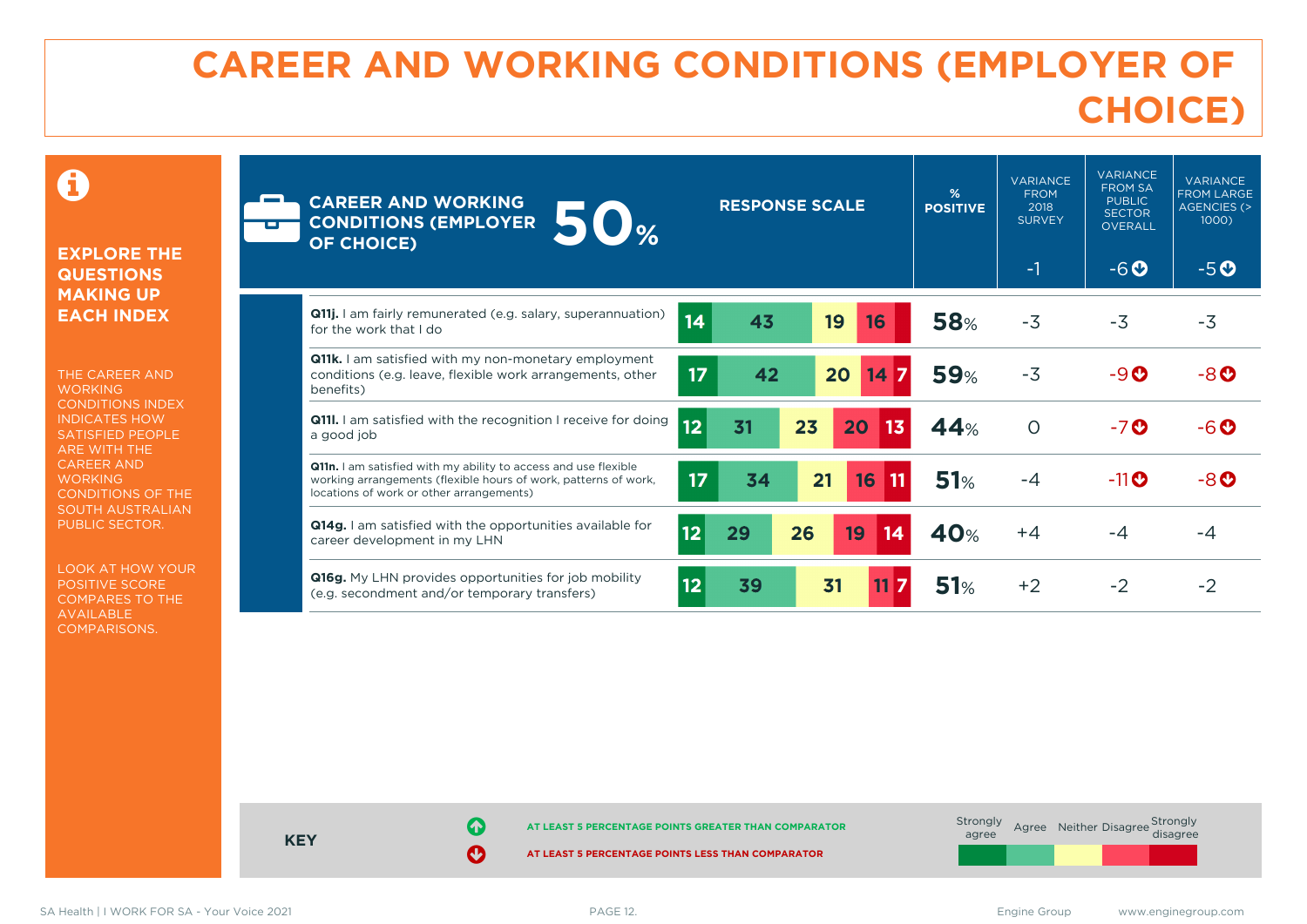## **CAREER AND WORKING CONDITIONS (EMPLOYER OF CHOICE)**

 $\mathbf \Theta$ 

#### **EXPLORE THE QUESTIONS MAKING UP EACH INDEX**

THE CAREER AND **WORKING** CONDITIONS INDEX INDICATES HOW SATISFIED PEOPLE ARE WITH THE CAREER AND **WORKING** CONDITIONS OF THE SOUTH AUSTRALIAN PUBLIC SECTOR.

LOOK AT HOW YOUR POSITIVE SCORE COMPARES TO THE AVAILABLE COMPARISONS.

| <b>CAREER AND WORKING</b><br><b>50%</b><br><b>CONDITIONS (EMPLOYER</b><br><b>OF CHOICE)</b>                                                                                           | <b>RESPONSE SCALE</b> |    |    | %<br><b>POSITIVE</b> | <b>VARIANCE</b><br><b>FROM</b><br>2018<br><b>SURVEY</b> | <b>VARIANCE</b><br><b>FROM SA</b><br><b>PUBLIC</b><br><b>SECTOR</b><br><b>OVERALL</b> | <b>VARIANCE</b><br><b>FROM LARGE</b><br>AGENCIES (><br>1000) |                    |          |
|---------------------------------------------------------------------------------------------------------------------------------------------------------------------------------------|-----------------------|----|----|----------------------|---------------------------------------------------------|---------------------------------------------------------------------------------------|--------------------------------------------------------------|--------------------|----------|
|                                                                                                                                                                                       |                       |    |    |                      |                                                         |                                                                                       | $-1$                                                         | $-6o$              | $-5O$    |
| Q11j. I am fairly remunerated (e.g. salary, superannuation)<br>for the work that I do                                                                                                 | 14                    | 43 |    | 19                   | 16                                                      | <b>58%</b>                                                                            | $-3$                                                         | $-3$               | $-3$     |
| <b>Q11k.</b> I am satisfied with my non-monetary employment<br>conditions (e.g. leave, flexible work arrangements, other<br>benefits)                                                 | 17                    | 42 |    | 20                   | 14                                                      | <b>59%</b>                                                                            | $-3$                                                         | $-9o$              | $-8$ $O$ |
| <b>Q111.</b> I am satisfied with the recognition I receive for doing<br>a good job                                                                                                    | 12                    | 31 | 23 | 20                   | 13 <sub>1</sub>                                         | 44%                                                                                   | $\Omega$                                                     | $-7$ $\odot$       | $-6o$    |
| <b>Q11n.</b> I am satisfied with my ability to access and use flexible<br>working arrangements (flexible hours of work, patterns of work,<br>locations of work or other arrangements) | 17                    | 34 | 21 |                      | 16<br>11                                                | 51%                                                                                   | $-4$                                                         | $-11$ <sup>O</sup> | -80      |
| <b>Q14g.</b> I am satisfied with the opportunities available for<br>career development in my LHN                                                                                      | 12                    | 29 | 26 | 19                   | 14                                                      | 40%                                                                                   | $+4$                                                         | -4                 | -4       |
| <b>Q16g.</b> My LHN provides opportunities for job mobility<br>(e.g. secondment and/or temporary transfers)                                                                           | 12                    | 39 |    | 31                   | 11                                                      | 51%                                                                                   | $+2$                                                         | $-2$               | $-2$     |

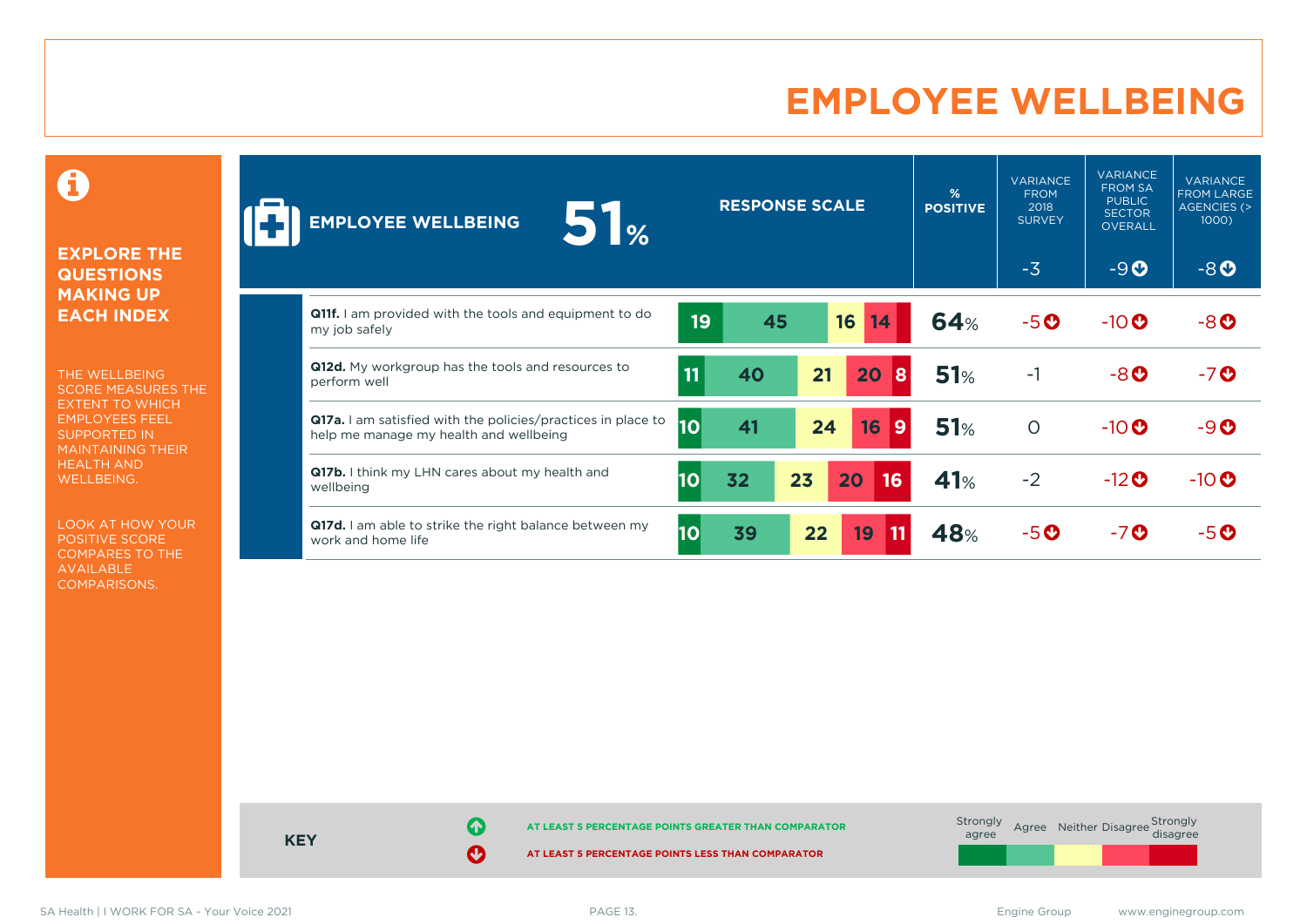### **EMPLOYEE WELLBEING**

0

#### **EXPLORE THE QUESTIONS MAKING UP EACH INDEX**

THE WELLBEING SCORE MEASURES THE EXTENT TO WHICH EMPLOYEES FEEL SUPPORTED IN MAINTAINING THEIR HEALTH AND WELLBEING.

LOOK AT HOW YOUR POSITIVE SCORE COMPARES TO THE AVAILABLE COMPARISONS.

| <b>51%</b><br><b>EMPLOYEE WELLBEING</b>                                                                       |    | <b>RESPONSE SCALE</b> |    |          | %<br><b>POSITIVE</b> | <b>VARIANCE</b><br><b>FROM</b><br>2018<br><b>SURVEY</b> | <b>VARIANCE</b><br><b>FROM SA</b><br><b>PUBLIC</b><br><b>SECTOR</b><br><b>OVERALL</b> | <b>VARIANCE</b><br><b>FROM LARGE</b><br>AGENCIES (><br>1000) |
|---------------------------------------------------------------------------------------------------------------|----|-----------------------|----|----------|----------------------|---------------------------------------------------------|---------------------------------------------------------------------------------------|--------------------------------------------------------------|
|                                                                                                               |    |                       |    |          |                      | $-3$                                                    | $-9O$                                                                                 | $-8o$                                                        |
| <b>Q11f.</b> I am provided with the tools and equipment to do<br>my job safely                                | 19 | 45                    |    | 16<br>14 | <b>64%</b>           | $-5o$                                                   | $-10$ <sup>O</sup>                                                                    | $-8o$                                                        |
| Q12d. My workgroup has the tools and resources to<br>perform well                                             | 11 | 40                    | 21 | 20<br>8  | 51%                  | $-1$                                                    | $-8$ <sup>O</sup>                                                                     | $-7o$                                                        |
| <b>Q17a.</b> I am satisfied with the policies/practices in place to<br>help me manage my health and wellbeing | 10 | 41                    | 24 | 16<br>9  | 51%                  | $\circ$                                                 | $-10$ $\odot$                                                                         | $-9O$                                                        |
| Q17b. I think my LHN cares about my health and<br>wellbeing                                                   | 10 | 32                    | 23 | 16<br>20 | 41%                  | $-2$                                                    | $-12$ <sup>O</sup>                                                                    | $-10$ <sup>O</sup>                                           |
| <b>Q17d.</b> I am able to strike the right balance between my<br>work and home life                           | 10 | 39                    | 22 | 19<br>11 | 48%                  | -50                                                     | -70                                                                                   | -5 O                                                         |

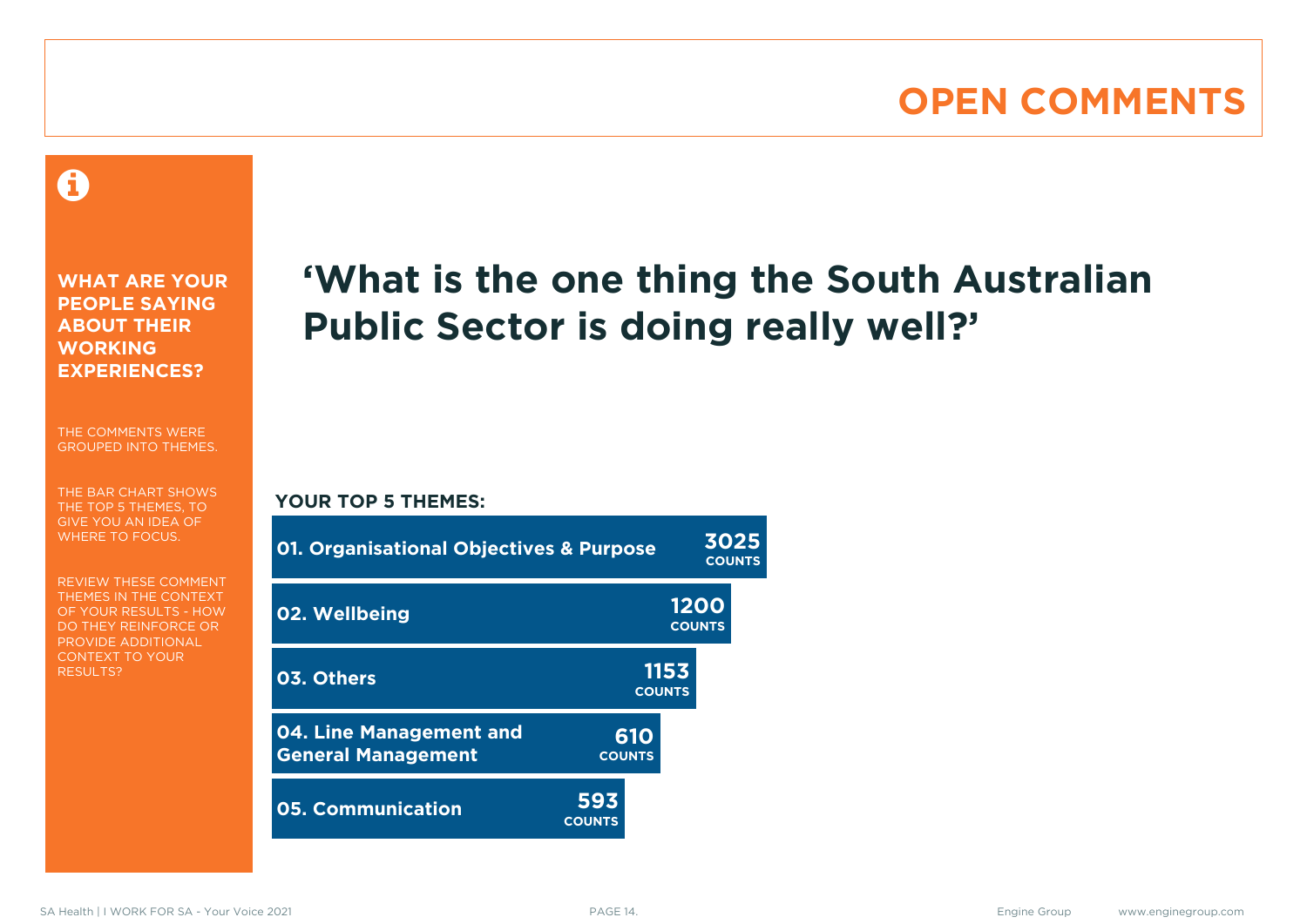### **OPEN COMMENTS**

#### 0

**WHAT ARE YOUR PEOPLE SAYING ABOUT THEIR WORKING EXPERIENCES?**

THE COMMENTS WERE GROUPED INTO THEMES.

THE BAR CHART SHOWS THE TOP 5 THEMES, TO GIVE YOU AN IDEA OF WHERE TO FOCUS.

REVIEW THESE COMMENT THEMES IN THE CONTEXT OF YOUR RESULTS - HOW DO THEY REINFORCE OR PROVIDE ADDITIONAL CONTEXT TO YOUR **RESULTS?** 

# **'What is the one thing the South Australian Public Sector is doing really well?'**

#### **YOUR TOP 5 THEMES:**

| <b>01. Organisational Objectives &amp; Purpose</b>   |                      |                       | 3025<br><b>COUNTS</b> |  |
|------------------------------------------------------|----------------------|-----------------------|-----------------------|--|
| 02. Wellbeing                                        |                      |                       | 1200<br><b>COUNTS</b> |  |
| 03. Others                                           |                      | 1153<br><b>COUNTS</b> |                       |  |
| 04. Line Management and<br><b>General Management</b> | 610<br><b>COUNTS</b> |                       |                       |  |
| <b>05. Communication</b>                             | 593<br><b>COUNTS</b> |                       |                       |  |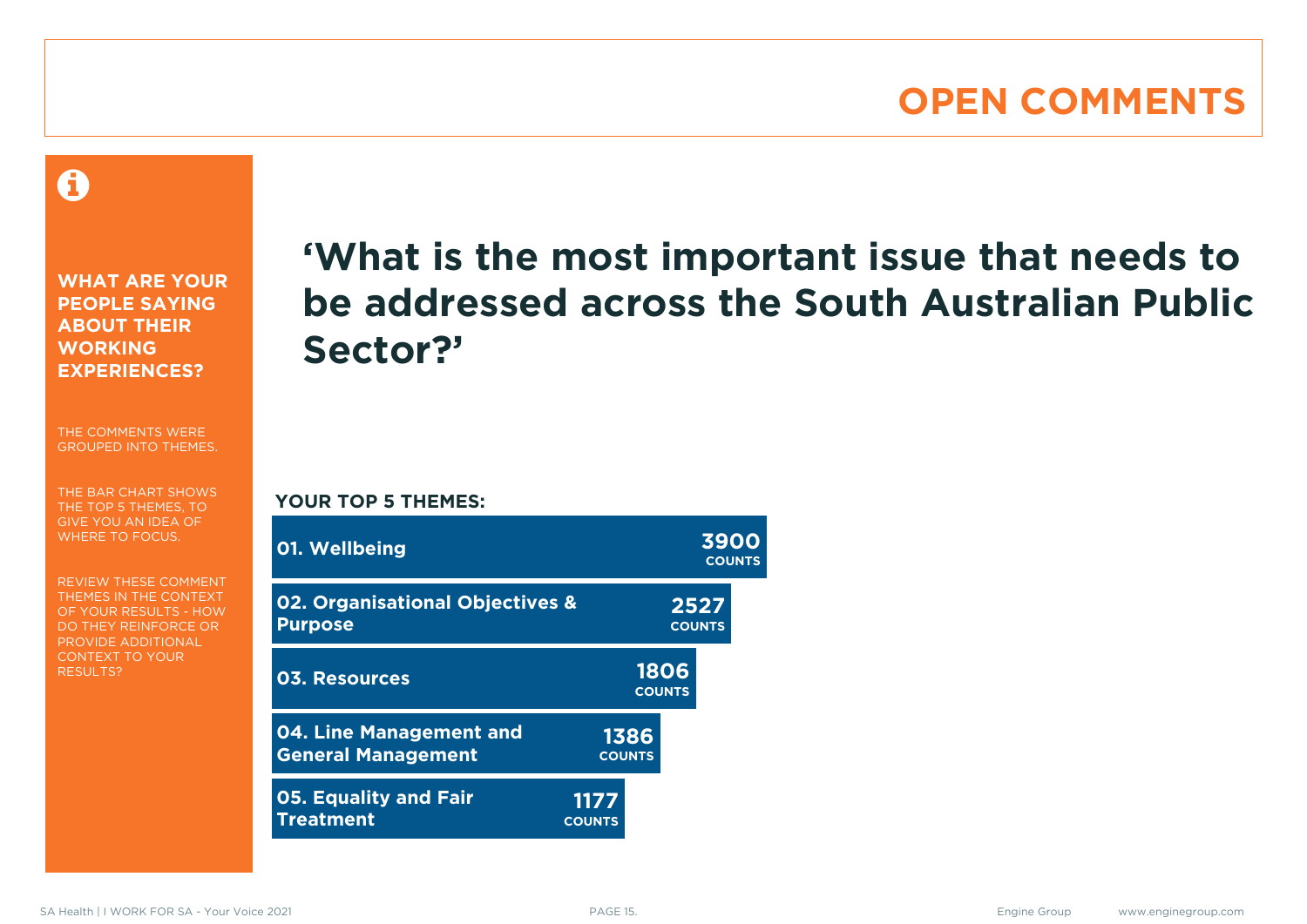#### **OPEN COMMENTS**

0

**WHAT ARE YOUR PEOPLE SAYING ABOUT THEIR WORKING EXPERIENCES?**

THE COMMENTS WERE GROUPED INTO THEMES.

THE BAR CHART SHOWS THE TOP 5 THEMES, TO GIVE YOU AN IDEA OF WHERE TO FOCUS.

REVIEW THESE COMMENT THEMES IN THE CONTEXT OF YOUR RESULTS - HOW DO THEY REINFORCE OR PROVIDE ADDITIONAL CONTEXT TO YOUR **RESULTS?** 

# **'What is the most important issue that needs to be addressed across the South Australian Public Sector?'**

**YOUR TOP 5 THEMES:**

| 01. Wellbeing                                        |                       |                       | 3900<br><b>COUNTS</b> |
|------------------------------------------------------|-----------------------|-----------------------|-----------------------|
| 02. Organisational Objectives &<br><b>Purpose</b>    |                       |                       | 2527<br><b>COUNTS</b> |
| <b>03. Resources</b>                                 |                       | 1806<br><b>COUNTS</b> |                       |
| 04. Line Management and<br><b>General Management</b> | 1386<br><b>COUNTS</b> |                       |                       |
| <b>05. Equality and Fair</b><br><b>Treatment</b>     | 1177<br><b>COUNTS</b> |                       |                       |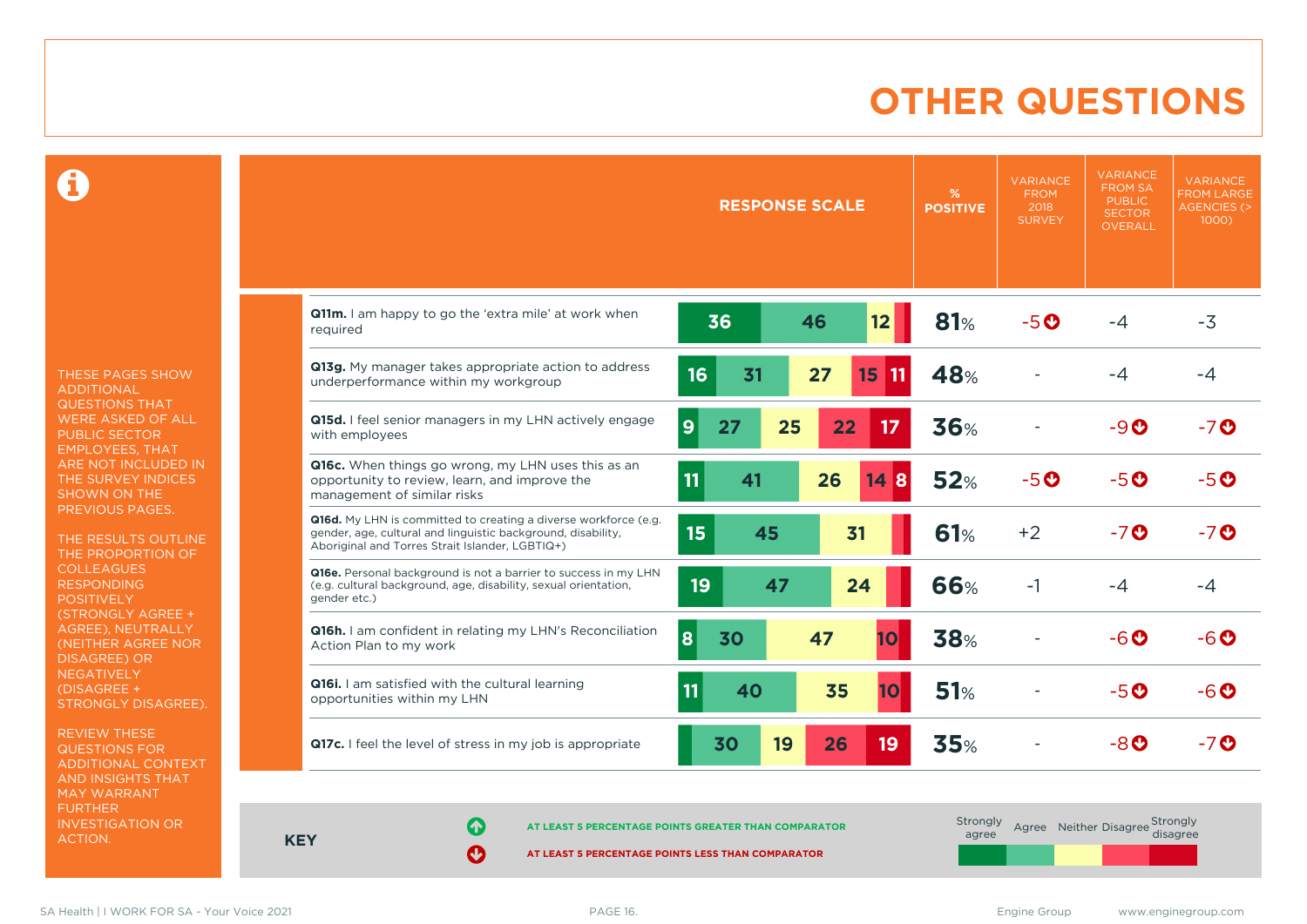### **OTHER QUESTIONS**

0

THESE PAGES SHOW ADDITIONAL QUESTIONS THAT WERE ASKED OF ALL PUBLIC SECTOR EMPLOYEES, THAT ARE NOT INCLUDED IN THE SURVEY INDICES SHOWN ON THE PREVIOUS PAGES.

THE RESULTS OUTLINE THE PROPORTION OF COLLEAGUES RESPONDING POSITIVELY (STRONGLY AGREE + AGREE), NEUTRALLY (NEITHER AGREE NOR DISAGREE) OR **NEGATIVELY** (DISAGREE + STRONGLY DISAGREE).

REVIEW THESE QUESTIONS FOR ADDITIONAL CONTEXT AND INSIGHTS THAT MAY WARRANT FURTHER INVESTIGATION OR ACTION.

|                                                                                                                                                                                    | <b>RESPONSE SCALE</b>                     | %<br><b>POSITIVE</b> | <b>VARIANCE</b><br><b>FROM</b><br>2018<br><b>SURVEY</b> | <b>VARIANCE</b><br><b>FROM SA</b><br><b>PUBLIC</b><br><b>SECTOR</b><br><b>OVERALL</b> | <b>VARIANCE</b><br><b>FROM LARGE</b><br><b>AGENCIES (&gt;</b><br>1000) |
|------------------------------------------------------------------------------------------------------------------------------------------------------------------------------------|-------------------------------------------|----------------------|---------------------------------------------------------|---------------------------------------------------------------------------------------|------------------------------------------------------------------------|
| Q11m. I am happy to go the 'extra mile' at work when<br>required                                                                                                                   | 36<br>12<br>46                            | <b>81%</b>           | $-5o$                                                   | $-4$                                                                                  | $-3$                                                                   |
| Q13g. My manager takes appropriate action to address<br>underperformance within my workgroup                                                                                       | 16<br>31<br>27<br> 11<br>15 <sub>15</sub> | <b>48%</b>           |                                                         | -4                                                                                    | $-4$                                                                   |
| Q15d. I feel senior managers in my LHN actively engage<br>with employees                                                                                                           | $\overline{9}$<br>27<br>25<br>22<br>17    | <b>36%</b>           |                                                         | $-9o$                                                                                 | $-7o$                                                                  |
| Q16c. When things go wrong, my LHN uses this as an<br>opportunity to review, learn, and improve the<br>management of similar risks                                                 | 11<br>41<br>26<br>14<br>8                 | 52%                  | $-5o$                                                   | $-5o$                                                                                 | $-5o$                                                                  |
| Q16d. My LHN is committed to creating a diverse workforce (e.g.<br>gender, age, cultural and linguistic background, disability,<br>Aboriginal and Torres Strait Islander, LGBTIQ+) | 15<br>31<br>45                            | 61%                  | $+2$                                                    | $-7o$                                                                                 | $-7o$                                                                  |
| Q16e. Personal background is not a barrier to success in my LHN<br>(e.g. cultural background, age, disability, sexual orientation,<br>gender etc.)                                 | 24<br>19<br>47                            | <b>66%</b>           | $-1$                                                    | $-4$                                                                                  | -4                                                                     |
| Q16h. I am confident in relating my LHN's Reconciliation<br>Action Plan to my work                                                                                                 | 8<br>30<br>47<br><b>10</b>                | <b>38%</b>           |                                                         | $-6o$                                                                                 | $-6o$                                                                  |
| Q16i. I am satisfied with the cultural learning<br>opportunities within my LHN                                                                                                     | 11<br>40<br>35<br>10                      | 51%                  |                                                         | $-5o$                                                                                 | $-6o$                                                                  |
| Q17c. I feel the level of stress in my job is appropriate                                                                                                                          | 30<br>19<br>26<br>19                      | 35%                  |                                                         | -80                                                                                   | $-7$ <sup>O</sup>                                                      |

**KEY**

**AT LEAST 5 PERCENTAGE POINTS GREATER THAN COMPARATOR** 

**AT LEAST 5 PERCENTAGE POINTS LESS THAN COMPARATOR** 

Strongly agree Agree Neither Disagree Strongly<br>disagree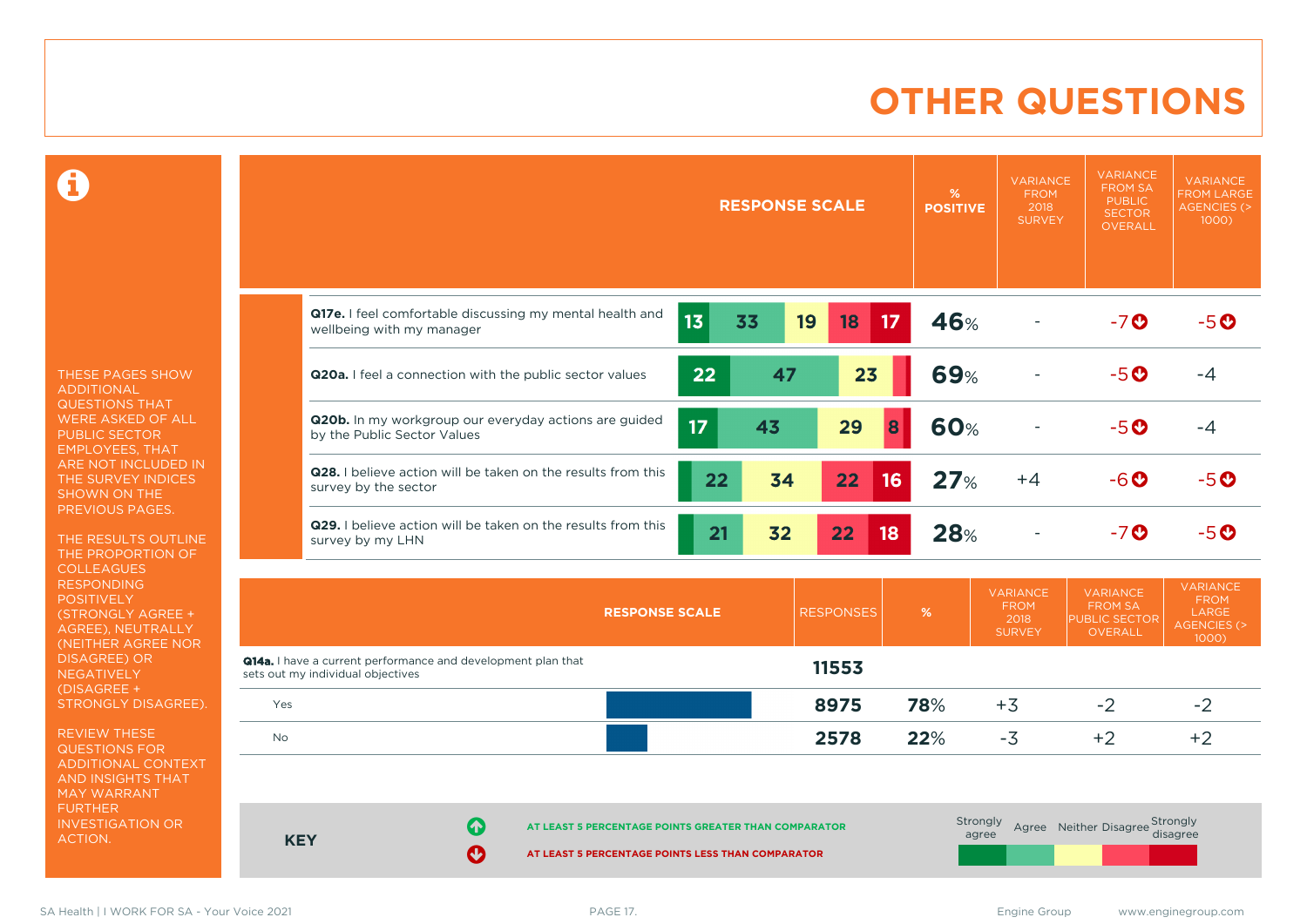### **OTHER QUESTIONS**

 $\mathbf \Omega$ 

THESE PAGES SHOW ADDITIONAL QUESTIONS THAT WERE ASKED OF ALL PUBLIC SECTOR EMPLOYEES, THAT ARE NOT INCLUDED IN THE SURVEY INDICES SHOWN ON THE PREVIOUS PAGES.

THE RESULTS OUTLINE THE PROPORTION OF COLLEAGUES RESPONDING **POSITIVELY** (STRONGLY AGREE + AGREE), NEUTRALLY (NEITHER AGREE NOR DISAGREE) OR NEGATIVELY (DISAGREE + STRONGLY DISAGREE).

REVIEW THESE QUESTIONS FOR ADDITIONAL CONTEXT AND INSIGHTS THAT MAY WARRANT FURTHER INVESTIGATION OR ACTION.

|                                                                                       |                 | <b>RESPONSE SCALE</b> |          | %<br><b>POSITIVE</b> | <b>VARIANCE</b><br><b>FROM</b><br>2018<br><b>SURVEY</b> | <b>VARIANCE</b><br><b>FROM SA</b><br><b>PUBLIC</b><br><b>SECTOR</b><br><b>OVERALL</b> | <b>VARIANCE</b><br><b>FROM LARGE</b><br><b>AGENCIES (&gt;</b><br>1000 |
|---------------------------------------------------------------------------------------|-----------------|-----------------------|----------|----------------------|---------------------------------------------------------|---------------------------------------------------------------------------------------|-----------------------------------------------------------------------|
| Q17e. I feel comfortable discussing my mental health and<br>wellbeing with my manager | 13              | 33<br>19              | 17<br>18 | 46%                  |                                                         | $-7o$                                                                                 | $-5$ $\odot$                                                          |
| Q20a. I feel a connection with the public sector values                               | 22              | 47                    | 23       | <b>69%</b>           |                                                         | $-5o$                                                                                 | -4                                                                    |
| Q20b. In my workgroup our everyday actions are guided<br>by the Public Sector Values  | 17 <sub>2</sub> | 43                    | 29<br>8  | <b>60%</b>           |                                                         | $-5o$                                                                                 | -4                                                                    |
| Q28. I believe action will be taken on the results from this<br>survey by the sector  | 22              | 34                    | 22<br>16 | 27%                  | $+4$                                                    | $-6$ $\odot$                                                                          | $-5$ $\odot$                                                          |
| Q29. I believe action will be taken on the results from this<br>survey by my LHN      | 21              | 32                    | 22<br>18 | 28%                  |                                                         | $-7o$                                                                                 | -5 O                                                                  |

|                                | <b>RESPONSE SCALE</b>                                      | <b>RESPONSES</b>                                                    | %                                                                                                         | <b>VARIANCE</b><br><b>FROM</b><br>2018<br><b>SURVEY</b>             | <b>VARIANCE</b><br><b>FROM SA</b><br><b>PUBLIC SECTOR</b><br><b>OVERALL</b> | <b>VARIANCE</b><br><b>FROM</b><br>LARGE<br>AGENCIES (><br>1000) |  |
|--------------------------------|------------------------------------------------------------|---------------------------------------------------------------------|-----------------------------------------------------------------------------------------------------------|---------------------------------------------------------------------|-----------------------------------------------------------------------------|-----------------------------------------------------------------|--|
|                                |                                                            | 11553                                                               |                                                                                                           |                                                                     |                                                                             |                                                                 |  |
|                                |                                                            | 8975                                                                | 78%                                                                                                       | $+3$                                                                | $-2$                                                                        | $-2$                                                            |  |
|                                |                                                            | 2578                                                                | 22%                                                                                                       | $-3$                                                                | $+2$                                                                        | $+2$                                                            |  |
|                                |                                                            |                                                                     |                                                                                                           |                                                                     |                                                                             |                                                                 |  |
| $\bf \bm \omega$<br><b>KEY</b> |                                                            |                                                                     |                                                                                                           | Strongly<br>Strongly<br>Agree Neither Disagree<br>disagree<br>agree |                                                                             |                                                                 |  |
|                                | sets out my individual objectives<br>$\boldsymbol{\Theta}$ | <b>Q14a.</b> I have a current performance and development plan that | AT LEAST 5 PERCENTAGE POINTS GREATER THAN COMPARATOR<br>AT LEAST 5 PERCENTAGE POINTS LESS THAN COMPARATOR |                                                                     |                                                                             |                                                                 |  |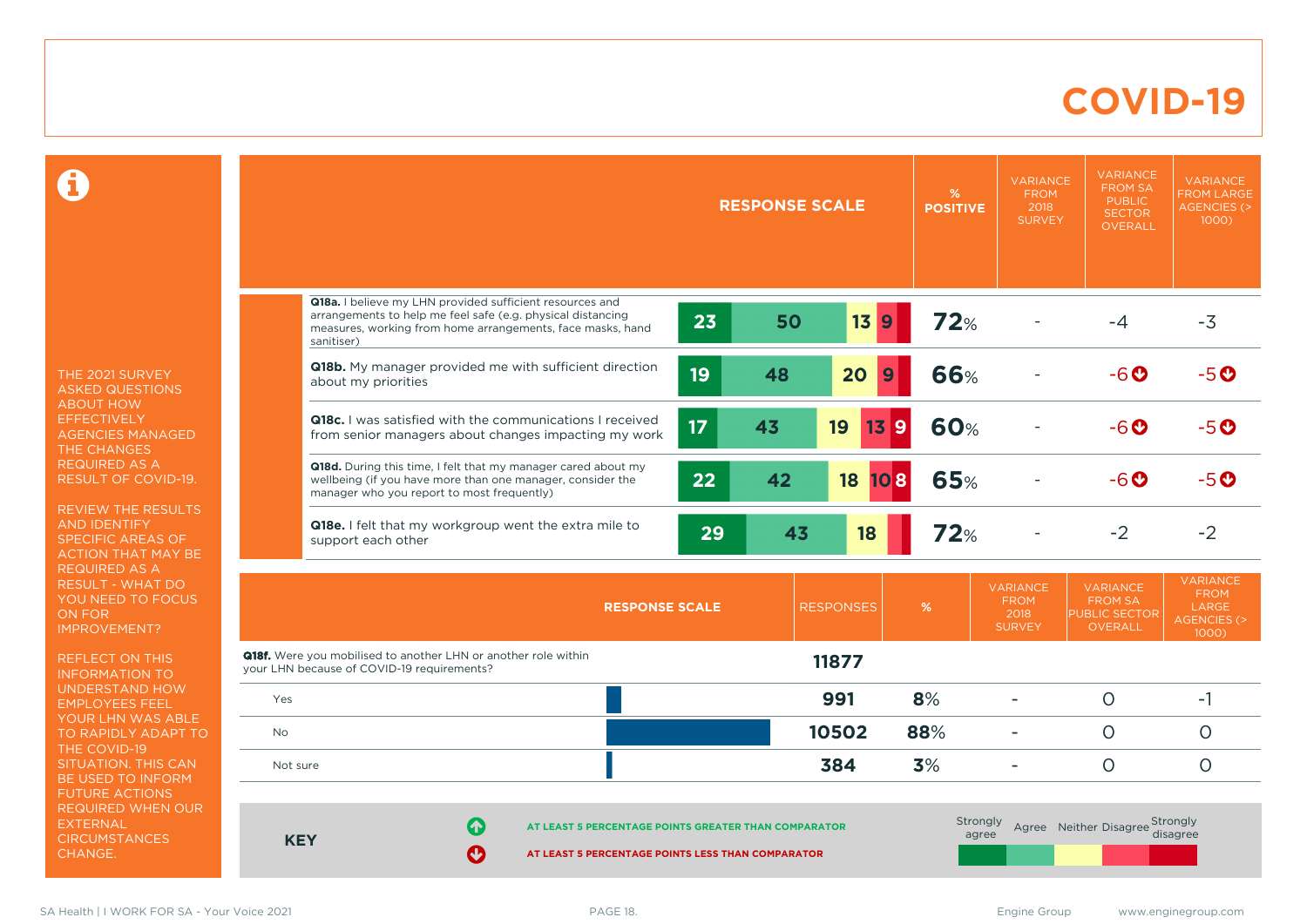#### **COVID-19**

 $\mathbf \Theta$ 

THE 2021 SURVEY ASKED QUESTIONS ABOUT HOW **EFFECTIVELY** AGENCIES MANAGED THE CHANGES REQUIRED AS A RESULT OF COVID-19.

REVIEW THE RESULTS AND IDENTIFY SPECIFIC AREAS OF ACTION THAT MAY BE REQUIRED AS A RESULT - WHAT DO YOU NEED TO FOCUS ON FOR IMPROVEMENT?

REFLECT ON THIS INFORMATION TO UNDERSTAND HOW EMPLOYEES FEEL YOUR LHN WAS ABLE TO RAPIDLY ADAPT TO THE COVID-19 SITUATION. THIS CAN BE USED TO INFORM FUTURE ACTIONS REQUIRED WHEN OUR **EXTERNAL CIRCUMSTANCES** CHANGE.

|            |                                                                                                                                                                           |    | <b>RESPONSE SCALE</b> |                      | $\%$<br><b>POSITIVE</b> | <b>VARIANCE</b><br><b>FROM</b><br>2018<br><b>SURVEY</b> | <b>VARIANCE</b><br><b>FROM SA</b><br><b>PUBLIC</b><br><b>SECTOR</b><br><b>OVERALL</b> | <b>VARIANCE</b><br><b>FROM LARGE</b><br><b>AGENCIES (&gt;</b><br>1000)    |
|------------|---------------------------------------------------------------------------------------------------------------------------------------------------------------------------|----|-----------------------|----------------------|-------------------------|---------------------------------------------------------|---------------------------------------------------------------------------------------|---------------------------------------------------------------------------|
|            | Q18a. I believe my LHN provided sufficient resources and                                                                                                                  |    |                       |                      |                         |                                                         |                                                                                       |                                                                           |
|            | arrangements to help me feel safe (e.g. physical distancing<br>measures, working from home arrangements, face masks, hand<br>sanitiser)                                   | 23 | 50                    | 13<br>$\overline{9}$ | 72%                     |                                                         | $-4$                                                                                  | $-3$                                                                      |
|            | Q18b. My manager provided me with sufficient direction<br>about my priorities                                                                                             | 19 | 48                    | 20<br>9              | <b>66%</b>              |                                                         | $-6o$                                                                                 | $-5o$                                                                     |
|            | <b>Q18c.</b> I was satisfied with the communications I received<br>from senior managers about changes impacting my work                                                   | 17 | 43                    | 19<br>$13$ 9         | 60%                     |                                                         | $-6o$                                                                                 | $-5o$                                                                     |
|            | Q18d. During this time, I felt that my manager cared about my<br>wellbeing (if you have more than one manager, consider the<br>manager who you report to most frequently) | 22 | 42                    | 18<br>108            | 65%                     |                                                         | $-6$ $O$                                                                              | $-5o$                                                                     |
|            | Q18e. I felt that my workgroup went the extra mile to<br>support each other                                                                                               | 29 | 43                    | 18                   | <b>72%</b>              |                                                         | $-2$                                                                                  | $-2$                                                                      |
|            | <b>RESPONSE SCALE</b>                                                                                                                                                     |    |                       | <b>RESPONSES</b>     | %                       | <b>VARIANCE</b><br><b>FROM</b><br>2018<br><b>SURVEY</b> | <b>VARIANCE</b><br><b>FROM SA</b><br>PUBLIC SECTOR<br><b>OVERALL</b>                  | <b>VARIANCE</b><br><b>FROM</b><br>LARGE<br><b>AGENCIES (&gt;</b><br>1000) |
|            | <b>Q18f.</b> Were you mobilised to another LHN or another role within<br>your LHN because of COVID-19 requirements?                                                       |    |                       | 11877                |                         |                                                         |                                                                                       |                                                                           |
| Yes        |                                                                                                                                                                           |    |                       | 991                  | 8%                      |                                                         | $\circ$                                                                               | $-1$                                                                      |
| <b>No</b>  |                                                                                                                                                                           |    |                       | 10502                | 88%                     | $\overline{\phantom{0}}$                                | $\circ$                                                                               | $\circ$                                                                   |
| Not sure   |                                                                                                                                                                           |    |                       | 384                  | 3%                      | ÷                                                       | $\circ$                                                                               | $\circ$                                                                   |
| <b>KEY</b> | 61<br>AT LEAST 5 PERCENTAGE POINTS GREATER THAN COMPARATOR<br>Ø<br>AT LEAST 5 PERCENTAGE POINTS LESS THAN COMPARATOR                                                      |    |                       |                      | Strongly                | agree                                                   | Agree Neither Disagree Strongly                                                       | disagree                                                                  |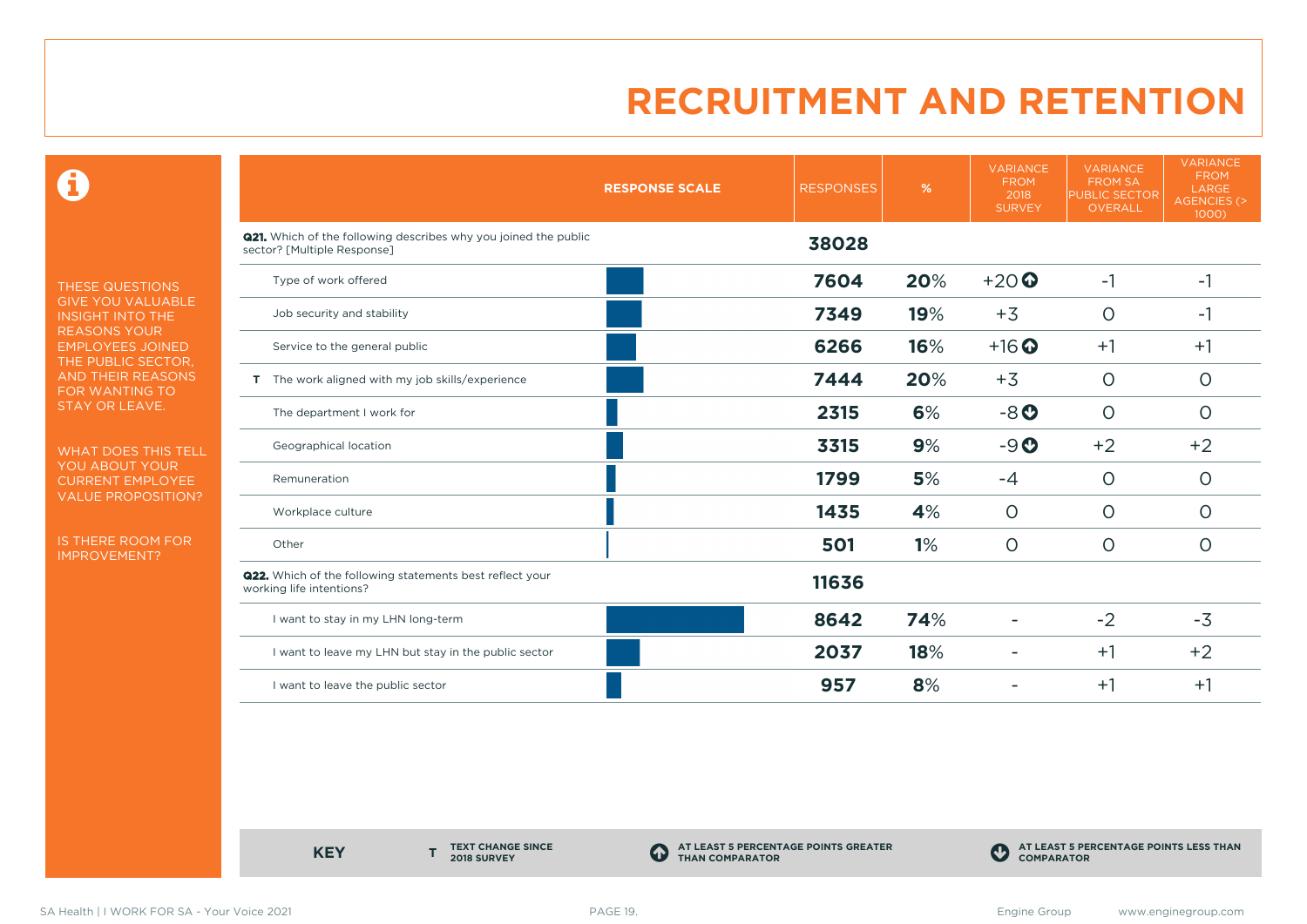0

THESE QUESTIONS GIVE YOU VALUABLE INSIGHT INTO THE REASONS YOUR EMPLOYEES JOINED THE PUBLIC SECTOR, AND THEIR REASONS FOR WANTING TO STAY OR LEAVE.

WHAT DOES THIS TELL YOU ABOUT YOUR CURRENT EMPLOYEE VALUE PROPOSITION?

IS THERE ROOM FOR IMPROVEMENT?

|                                                                                                       | <b>RESPONSE SCALE</b> | <b>RESPONSES</b> | %   | <b>VARIANCE</b><br><b>FROM</b><br>2018<br><b>SURVEY</b> | <b>VARIANCE</b><br><b>FROM SA</b><br><b>PUBLIC SECTOR</b><br>OVERALL | <b>VARIANCE</b><br><b>FROM</b><br>LARGE<br><b>AGENCIES (&gt;</b><br>$1000$ ) |
|-------------------------------------------------------------------------------------------------------|-----------------------|------------------|-----|---------------------------------------------------------|----------------------------------------------------------------------|------------------------------------------------------------------------------|
| <b>Q21.</b> Which of the following describes why you joined the public<br>sector? [Multiple Response] |                       | 38028            |     |                                                         |                                                                      |                                                                              |
| Type of work offered                                                                                  |                       | 7604             | 20% | $+20$                                                   | $-1$                                                                 | $-1$                                                                         |
| Job security and stability                                                                            |                       | 7349             | 19% | $+3$                                                    | $\circ$                                                              | $-1$                                                                         |
| Service to the general public                                                                         |                       | 6266             | 16% | $+16$ <sup>O</sup>                                      | $+1$                                                                 | $+1$                                                                         |
| T The work aligned with my job skills/experience                                                      |                       | 7444             | 20% | $+3$                                                    | $\circ$                                                              | $\circ$                                                                      |
| The department I work for                                                                             |                       | 2315             | 6%  | $-8o$                                                   | $\circ$                                                              | $\circ$                                                                      |
| Geographical location                                                                                 |                       | 3315             | 9%  | $-9O$                                                   | $+2$                                                                 | $+2$                                                                         |
| Remuneration                                                                                          |                       | 1799             | 5%  | $-4$                                                    | $\circ$                                                              | $\circ$                                                                      |
| Workplace culture                                                                                     |                       | 1435             | 4%  | $\circ$                                                 | $\circ$                                                              | $\circ$                                                                      |
| Other                                                                                                 |                       | 501              | 1%  | $\circ$                                                 | $\circ$                                                              | $\circ$                                                                      |
| <b>Q22.</b> Which of the following statements best reflect your<br>working life intentions?           |                       | 11636            |     |                                                         |                                                                      |                                                                              |
| I want to stay in my LHN long-term                                                                    |                       | 8642             | 74% |                                                         | $-2$                                                                 | $-3$                                                                         |
| I want to leave my LHN but stay in the public sector                                                  |                       | 2037             | 18% |                                                         | $+1$                                                                 | $+2$                                                                         |
| I want to leave the public sector                                                                     |                       | 957              | 8%  |                                                         | $+1$                                                                 | $+1$                                                                         |

**KEY** 

**TEXT CHANGE SINCE 2018 SURVEY**

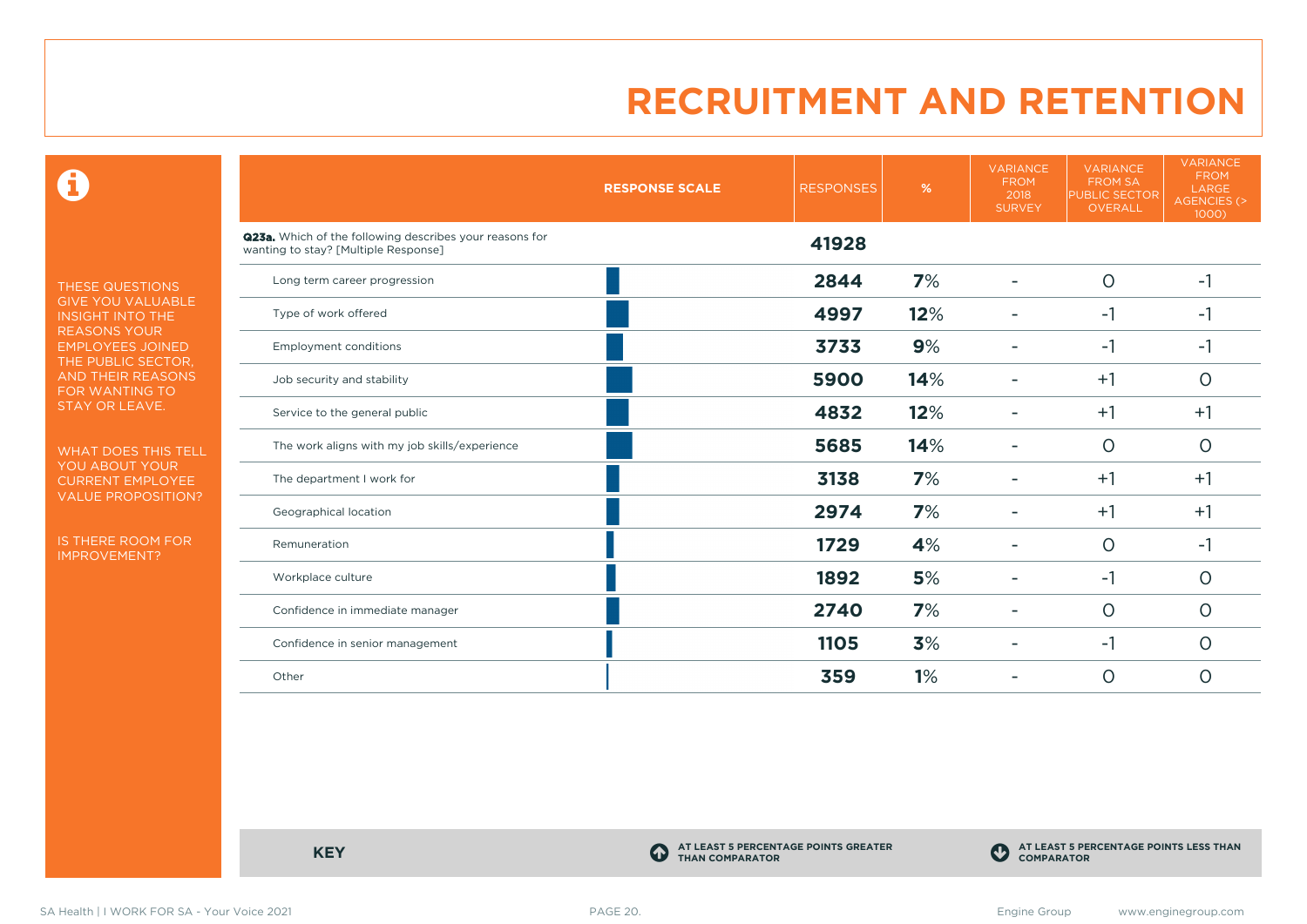$\mathbf \Omega$ 

THESE QUESTIONS GIVE YOU VALUABLE INSIGHT INTO THE REASONS YOUR EMPLOYEES JOINED THE PUBLIC SECTOR, AND THEIR REASONS FOR WANTING TO STAY OR LEAVE.

WHAT DOES THIS TELL YOU ABOUT YOUR CURRENT EMPLOYEE VALUE PROPOSITION?

IS THERE ROOM FOR IMPROVEMENT?

|                                                                                                 | <b>RESPONSE SCALE</b> | <b>RESPONSES</b> | %   | <b>VARIANCE</b><br><b>FROM</b><br>2018<br><b>SURVEY</b> | <b>VARIANCE</b><br><b>FROM SA</b><br><b>PUBLIC SECTOR</b><br>OVERALL | <b>VARIANCE</b><br><b>FROM</b><br>LARGE<br>AGENCIES (><br>1000) |
|-------------------------------------------------------------------------------------------------|-----------------------|------------------|-----|---------------------------------------------------------|----------------------------------------------------------------------|-----------------------------------------------------------------|
| Q23a. Which of the following describes your reasons for<br>wanting to stay? [Multiple Response] |                       | 41928            |     |                                                         |                                                                      |                                                                 |
| Long term career progression                                                                    |                       | 2844             | 7%  |                                                         | $\circ$                                                              | $-1$                                                            |
| Type of work offered                                                                            |                       | 4997             | 12% |                                                         | $-1$                                                                 | -1                                                              |
| <b>Employment conditions</b>                                                                    |                       | 3733             | 9%  |                                                         | $-1$                                                                 | $-1$                                                            |
| Job security and stability                                                                      |                       | 5900             | 14% |                                                         | $+1$                                                                 | $\circ$                                                         |
| Service to the general public                                                                   |                       | 4832             | 12% |                                                         | $+1$                                                                 | $+1$                                                            |
| The work aligns with my job skills/experience                                                   |                       | 5685             | 14% |                                                         | $\circ$                                                              | $\circ$                                                         |
| The department I work for                                                                       |                       | 3138             | 7%  |                                                         | $+1$                                                                 | $+1$                                                            |
| Geographical location                                                                           |                       | 2974             | 7%  |                                                         | $+1$                                                                 | $+1$                                                            |
| Remuneration                                                                                    |                       | 1729             | 4%  |                                                         | $\circ$                                                              | $-1$                                                            |
| Workplace culture                                                                               |                       | 1892             | 5%  | ۰                                                       | $-1$                                                                 | $\circ$                                                         |
| Confidence in immediate manager                                                                 |                       | 2740             | 7%  |                                                         | $\circ$                                                              | 0                                                               |
| Confidence in senior management                                                                 |                       | 1105             | 3%  |                                                         | $-1$                                                                 | $\circ$                                                         |
| Other                                                                                           |                       | 359              | 1%  |                                                         | $\circ$                                                              | $\circ$                                                         |

**KEY C** 

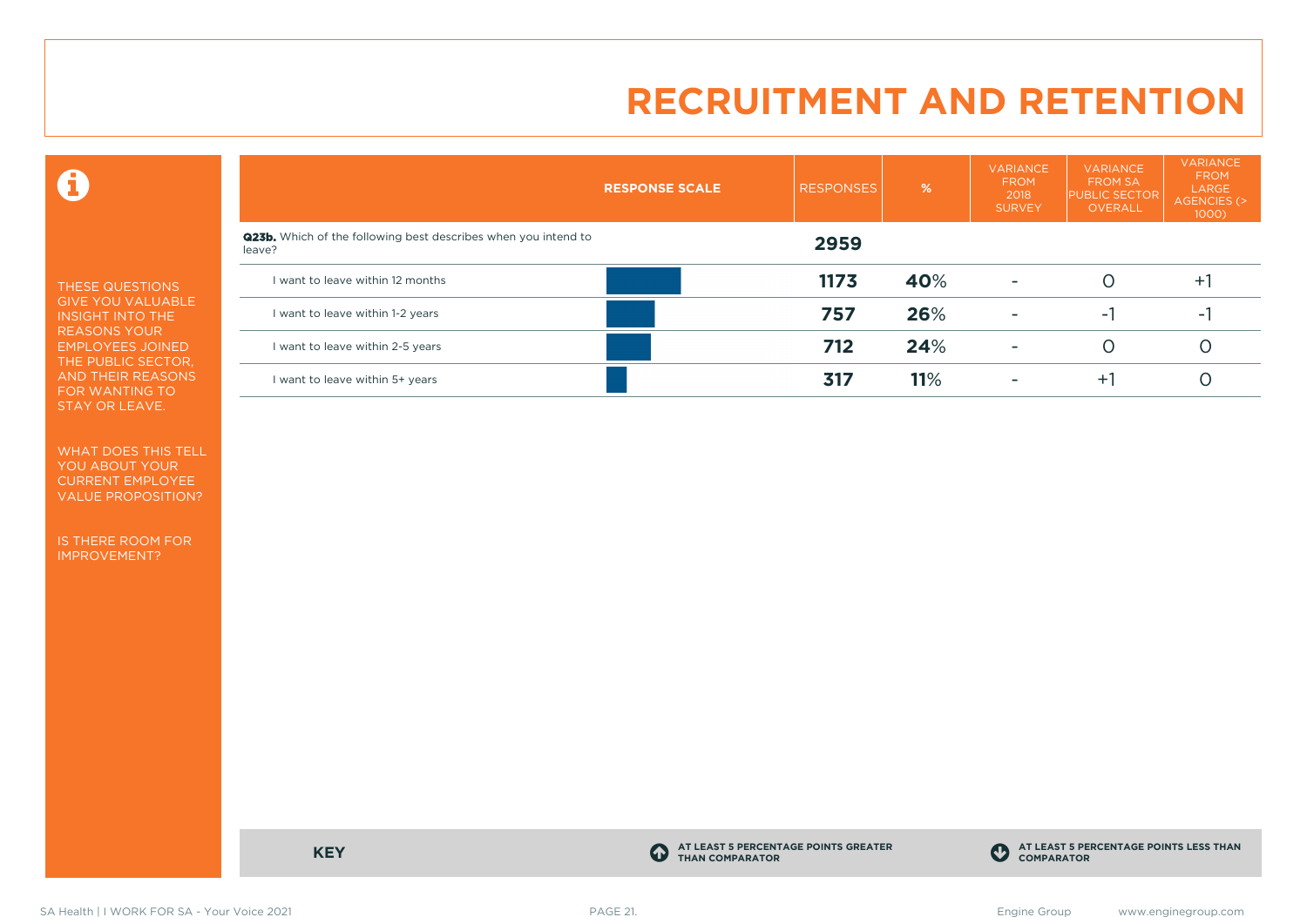0

THESE QUESTIONS GIVE YOU VALUABLE INSIGHT INTO THE REASONS YOUR EMPLOYEES JOINED THE PUBLIC SECTOR, AND THEIR REASONS FOR WANTING TO STAY OR LEAVE.

WHAT DOES THIS TELL YOU ABOUT YOUR CURRENT EMPLOYEE VALUE PROPOSITION?

IS THERE ROOM FOR IMPROVEMENT?

|                                                                                 | <b>RESPONSE SCALE</b> | <b>RESPONSES</b> | %   | <b>VARIANCE</b><br><b>FROM</b><br>2018<br><b>SURVEY</b> | <b>VARIANCE</b><br><b>FROM SA</b><br><b>PUBLIC SECTOR</b><br><b>OVERALL</b> | <b>VARIANCE</b><br><b>FROM</b><br>LARGE<br>AGENCIES (><br>1000) |
|---------------------------------------------------------------------------------|-----------------------|------------------|-----|---------------------------------------------------------|-----------------------------------------------------------------------------|-----------------------------------------------------------------|
| <b>Q23b.</b> Which of the following best describes when you intend to<br>leave? |                       | 2959             |     |                                                         |                                                                             |                                                                 |
| I want to leave within 12 months                                                |                       | 1173             | 40% | $\overline{\phantom{a}}$                                |                                                                             | $+1$                                                            |
| want to leave within 1-2 years                                                  |                       | 757              | 26% | $\overline{\phantom{a}}$                                | ÷.                                                                          | $\sim$                                                          |
| I want to leave within 2-5 years                                                |                       | 712              | 24% | ۰                                                       |                                                                             |                                                                 |
| I want to leave within 5+ years                                                 |                       | 317              | 11% | ۰                                                       | $+1$                                                                        |                                                                 |

**KEY C** 

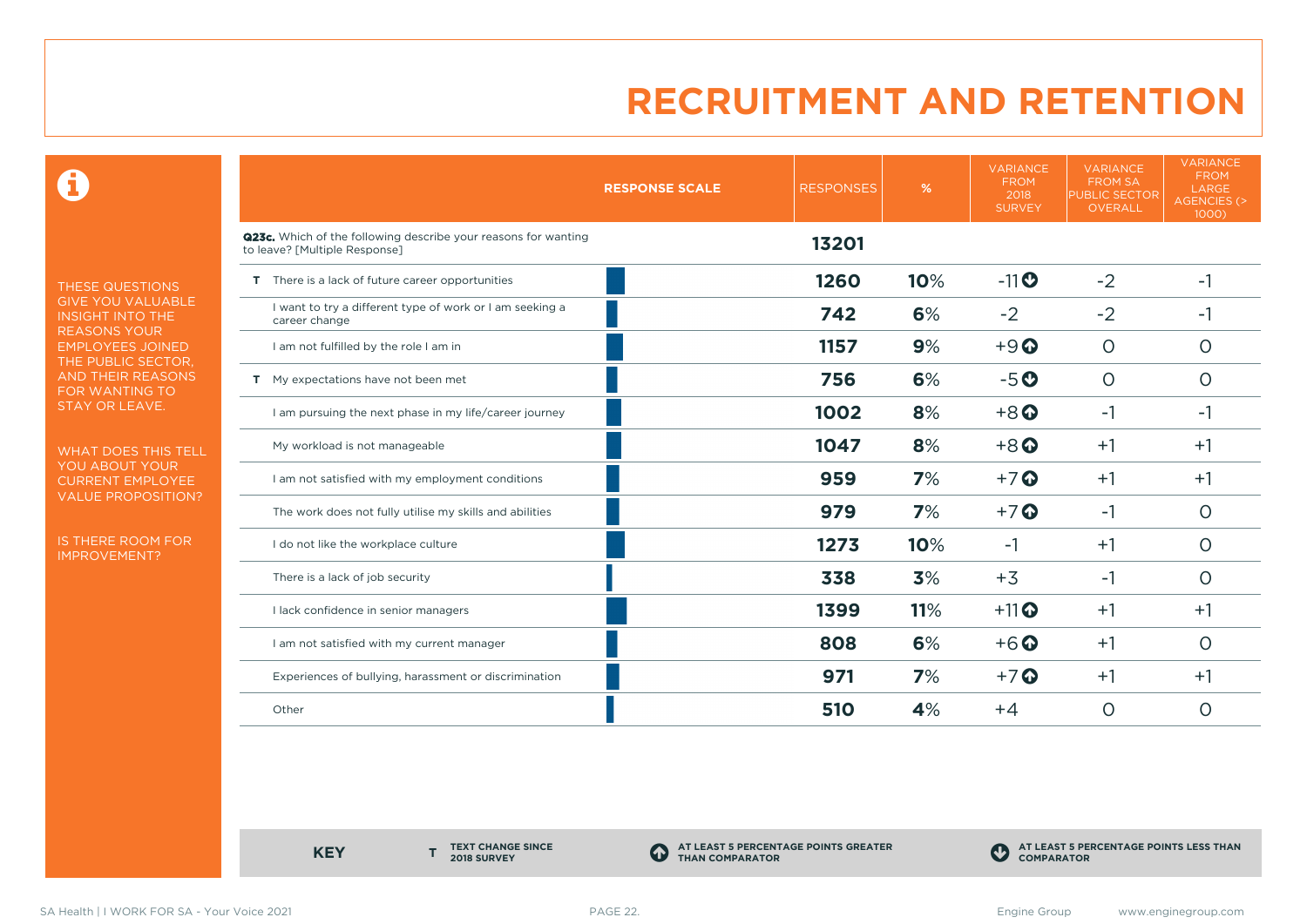0

THESE QUESTIONS GIVE YOU VALUABLE INSIGHT INTO THE REASONS YOUR EMPLOYEES JOINED THE PUBLIC SECTOR, AND THEIR REASONS FOR WANTING TO STAY OR LEAVE.

WHAT DOES THIS TELL YOU ABOUT YOUR CURRENT EMPLOYEE VALUE PROPOSITION?

IS THERE ROOM FOR IMPROVEMENT?

|                                                                                                 | <b>RESPONSE SCALE</b> | <b>RESPONSES</b> | %   | <b>VARIANCE</b><br><b>FROM</b><br>2018<br><b>SURVEY</b> | <b>VARIANCE</b><br><b>FROM SA</b><br><b>PUBLIC SECTOR</b><br>OVERALL | <b>VARIANCE</b><br><b>FROM</b><br>LARGE<br><b>AGENCIES (&gt;</b><br>1000) |
|-------------------------------------------------------------------------------------------------|-----------------------|------------------|-----|---------------------------------------------------------|----------------------------------------------------------------------|---------------------------------------------------------------------------|
| Q23c. Which of the following describe your reasons for wanting<br>to leave? [Multiple Response] |                       | 13201            |     |                                                         |                                                                      |                                                                           |
| T There is a lack of future career opportunities                                                |                       | 1260             | 10% | $-11$                                                   | $-2$                                                                 | -1                                                                        |
| I want to try a different type of work or I am seeking a<br>career change                       |                       | 742              | 6%  | $-2$                                                    | $-2$                                                                 | -1                                                                        |
| I am not fulfilled by the role I am in                                                          |                       | 1157             | 9%  | $+9$ <sup><math>\odot</math></sup>                      | $\Omega$                                                             | $\Omega$                                                                  |
| T My expectations have not been met                                                             |                       | 756              | 6%  | $-5o$                                                   | $\circ$                                                              | $\circ$                                                                   |
| I am pursuing the next phase in my life/career journey                                          |                       | 1002             | 8%  | $+8$ <sup>O</sup>                                       | $-1$                                                                 | -1                                                                        |
| My workload is not manageable                                                                   |                       | 1047             | 8%  | $+8$ <sup>O</sup>                                       | $+1$                                                                 | $+1$                                                                      |
| I am not satisfied with my employment conditions                                                |                       | 959              | 7%  | $+7$ <sup>O</sup>                                       | $+1$                                                                 | $+1$                                                                      |
| The work does not fully utilise my skills and abilities                                         |                       | 979              | 7%  | $+7$                                                    | $-1$                                                                 | O                                                                         |
| I do not like the workplace culture                                                             |                       | 1273             | 10% | -1                                                      | $+1$                                                                 | O                                                                         |
| There is a lack of job security                                                                 |                       | 338              | 3%  | $+3$                                                    | -1                                                                   | O                                                                         |
| I lack confidence in senior managers                                                            |                       | 1399             | 11% | $+11$ <sup>O</sup>                                      | $+1$                                                                 | $+1$                                                                      |
| I am not satisfied with my current manager                                                      |                       | 808              | 6%  | $+6$ <sup>O</sup>                                       | $+1$                                                                 | O                                                                         |
| Experiences of bullying, harassment or discrimination                                           |                       | 971              | 7%  | $+7$ $\odot$                                            | $+1$                                                                 | $+1$                                                                      |
| Other                                                                                           |                       | <b>510</b>       | 4%  | $+4$                                                    | $\circ$                                                              | O                                                                         |

**KEY** 

**TEXT CHANGE SINCE 2018 SURVEY**

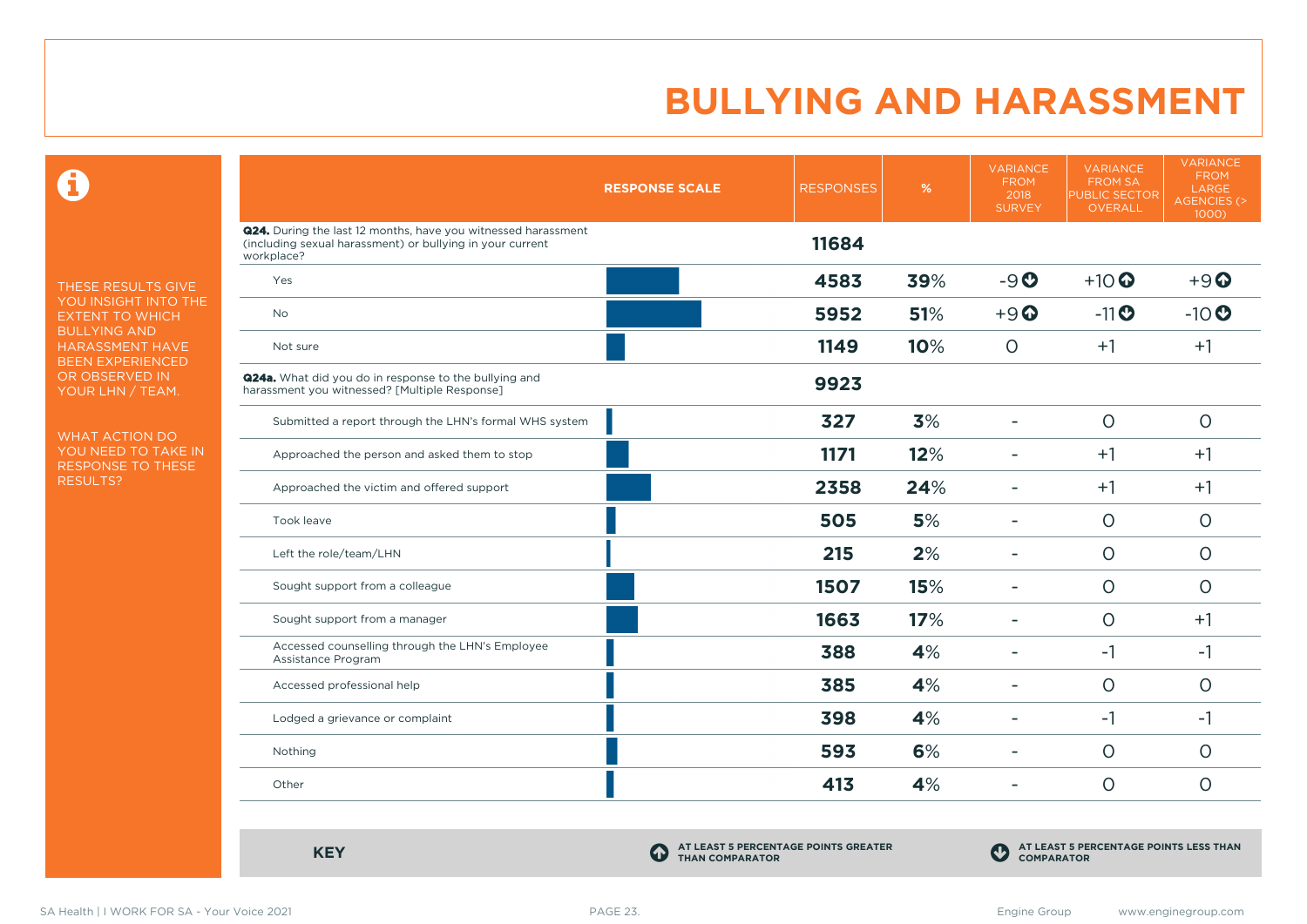$\mathbf \Omega$ 

THESE RESULTS GIVE YOU INSIGHT INTO THE EXTENT TO WHICH BULLYING AND HARASSMENT HAVE BEEN EXPERIENCED OR OBSERVED IN YOUR LHN / TEAM.

WHAT ACTION DO YOU NEED TO TAKE IN RESPONSE TO THESE RESULTS?

| Q24. During the last 12 months, have you witnessed harassment<br>11684<br>(including sexual harassment) or bullying in your current<br>workplace?<br>$+10$ <sup>O</sup><br>$+9$ $\odot$<br>4583<br>39%<br>$-9O$<br>Yes<br>51%<br>$-10$<br>5952<br>$+9$ <sup><math>\odot</math></sup><br>$-11$ <sup>O</sup><br>No<br>1149<br>10%<br>$\circ$<br>$+1$<br>$+1$<br>Not sure<br><b>Q24a.</b> What did you do in response to the bullying and<br>9923<br>harassment you witnessed? [Multiple Response]<br>327<br>3%<br>$\circ$<br>$\circ$<br>Submitted a report through the LHN's formal WHS system<br>$\overline{\phantom{0}}$<br>12%<br>1171<br>$+1$<br>$+1$<br>Approached the person and asked them to stop<br>24%<br>2358<br>$+1$<br>$+1$<br>Approached the victim and offered support<br>505<br>5%<br>$\circ$<br>$\circ$<br>Took leave<br>۰<br>215<br>2%<br>$\circ$<br>$\circ$<br>Left the role/team/LHN<br>$\overline{\phantom{0}}$<br>1507<br>$\circ$<br>$\circ$<br>15%<br>Sought support from a colleague<br>۰<br>1663<br>17%<br>$+1$<br>$\circ$<br>Sought support from a manager<br>$\overline{\phantom{a}}$<br>Accessed counselling through the LHN's Employee<br>388<br>4%<br>$-1$<br>$-1$<br>۰<br>Assistance Program<br>385<br>4%<br>$\circ$<br>$\circ$<br>Accessed professional help<br>398<br>4%<br>$-1$<br>$-1$<br>Lodged a grievance or complaint<br>$\blacksquare$<br>593<br>6%<br>$\circ$<br>$\circ$<br>Nothing<br>$\blacksquare$<br>413<br>4%<br>$\circ$<br>$\circ$<br>Other<br>۰ | <b>RESPONSE SCALE</b> | <b>RESPONSES</b> | % | <b>VARIANCE</b><br><b>FROM</b><br>2018<br><b>SURVEY</b> | <b>VARIANCE</b><br><b>FROM SA</b><br><b>PUBLIC SECTOR</b><br>OVERALL | <b>VARIANCE</b><br><b>FROM</b><br>LARGE<br>AGENCIES (><br>1000) |
|-----------------------------------------------------------------------------------------------------------------------------------------------------------------------------------------------------------------------------------------------------------------------------------------------------------------------------------------------------------------------------------------------------------------------------------------------------------------------------------------------------------------------------------------------------------------------------------------------------------------------------------------------------------------------------------------------------------------------------------------------------------------------------------------------------------------------------------------------------------------------------------------------------------------------------------------------------------------------------------------------------------------------------------------------------------------------------------------------------------------------------------------------------------------------------------------------------------------------------------------------------------------------------------------------------------------------------------------------------------------------------------------------------------------------------------------------------------------------------------------------|-----------------------|------------------|---|---------------------------------------------------------|----------------------------------------------------------------------|-----------------------------------------------------------------|
|                                                                                                                                                                                                                                                                                                                                                                                                                                                                                                                                                                                                                                                                                                                                                                                                                                                                                                                                                                                                                                                                                                                                                                                                                                                                                                                                                                                                                                                                                               |                       |                  |   |                                                         |                                                                      |                                                                 |
|                                                                                                                                                                                                                                                                                                                                                                                                                                                                                                                                                                                                                                                                                                                                                                                                                                                                                                                                                                                                                                                                                                                                                                                                                                                                                                                                                                                                                                                                                               |                       |                  |   |                                                         |                                                                      |                                                                 |
|                                                                                                                                                                                                                                                                                                                                                                                                                                                                                                                                                                                                                                                                                                                                                                                                                                                                                                                                                                                                                                                                                                                                                                                                                                                                                                                                                                                                                                                                                               |                       |                  |   |                                                         |                                                                      |                                                                 |
|                                                                                                                                                                                                                                                                                                                                                                                                                                                                                                                                                                                                                                                                                                                                                                                                                                                                                                                                                                                                                                                                                                                                                                                                                                                                                                                                                                                                                                                                                               |                       |                  |   |                                                         |                                                                      |                                                                 |
|                                                                                                                                                                                                                                                                                                                                                                                                                                                                                                                                                                                                                                                                                                                                                                                                                                                                                                                                                                                                                                                                                                                                                                                                                                                                                                                                                                                                                                                                                               |                       |                  |   |                                                         |                                                                      |                                                                 |
|                                                                                                                                                                                                                                                                                                                                                                                                                                                                                                                                                                                                                                                                                                                                                                                                                                                                                                                                                                                                                                                                                                                                                                                                                                                                                                                                                                                                                                                                                               |                       |                  |   |                                                         |                                                                      |                                                                 |
|                                                                                                                                                                                                                                                                                                                                                                                                                                                                                                                                                                                                                                                                                                                                                                                                                                                                                                                                                                                                                                                                                                                                                                                                                                                                                                                                                                                                                                                                                               |                       |                  |   |                                                         |                                                                      |                                                                 |
|                                                                                                                                                                                                                                                                                                                                                                                                                                                                                                                                                                                                                                                                                                                                                                                                                                                                                                                                                                                                                                                                                                                                                                                                                                                                                                                                                                                                                                                                                               |                       |                  |   |                                                         |                                                                      |                                                                 |
|                                                                                                                                                                                                                                                                                                                                                                                                                                                                                                                                                                                                                                                                                                                                                                                                                                                                                                                                                                                                                                                                                                                                                                                                                                                                                                                                                                                                                                                                                               |                       |                  |   |                                                         |                                                                      |                                                                 |
|                                                                                                                                                                                                                                                                                                                                                                                                                                                                                                                                                                                                                                                                                                                                                                                                                                                                                                                                                                                                                                                                                                                                                                                                                                                                                                                                                                                                                                                                                               |                       |                  |   |                                                         |                                                                      |                                                                 |
|                                                                                                                                                                                                                                                                                                                                                                                                                                                                                                                                                                                                                                                                                                                                                                                                                                                                                                                                                                                                                                                                                                                                                                                                                                                                                                                                                                                                                                                                                               |                       |                  |   |                                                         |                                                                      |                                                                 |
|                                                                                                                                                                                                                                                                                                                                                                                                                                                                                                                                                                                                                                                                                                                                                                                                                                                                                                                                                                                                                                                                                                                                                                                                                                                                                                                                                                                                                                                                                               |                       |                  |   |                                                         |                                                                      |                                                                 |
|                                                                                                                                                                                                                                                                                                                                                                                                                                                                                                                                                                                                                                                                                                                                                                                                                                                                                                                                                                                                                                                                                                                                                                                                                                                                                                                                                                                                                                                                                               |                       |                  |   |                                                         |                                                                      |                                                                 |
|                                                                                                                                                                                                                                                                                                                                                                                                                                                                                                                                                                                                                                                                                                                                                                                                                                                                                                                                                                                                                                                                                                                                                                                                                                                                                                                                                                                                                                                                                               |                       |                  |   |                                                         |                                                                      |                                                                 |
|                                                                                                                                                                                                                                                                                                                                                                                                                                                                                                                                                                                                                                                                                                                                                                                                                                                                                                                                                                                                                                                                                                                                                                                                                                                                                                                                                                                                                                                                                               |                       |                  |   |                                                         |                                                                      |                                                                 |
|                                                                                                                                                                                                                                                                                                                                                                                                                                                                                                                                                                                                                                                                                                                                                                                                                                                                                                                                                                                                                                                                                                                                                                                                                                                                                                                                                                                                                                                                                               |                       |                  |   |                                                         |                                                                      |                                                                 |
|                                                                                                                                                                                                                                                                                                                                                                                                                                                                                                                                                                                                                                                                                                                                                                                                                                                                                                                                                                                                                                                                                                                                                                                                                                                                                                                                                                                                                                                                                               |                       |                  |   |                                                         |                                                                      |                                                                 |

**KEY C** 

**AT LEAST 5 PERCENTAGE POINTS GREATER THAN COMPARATOR**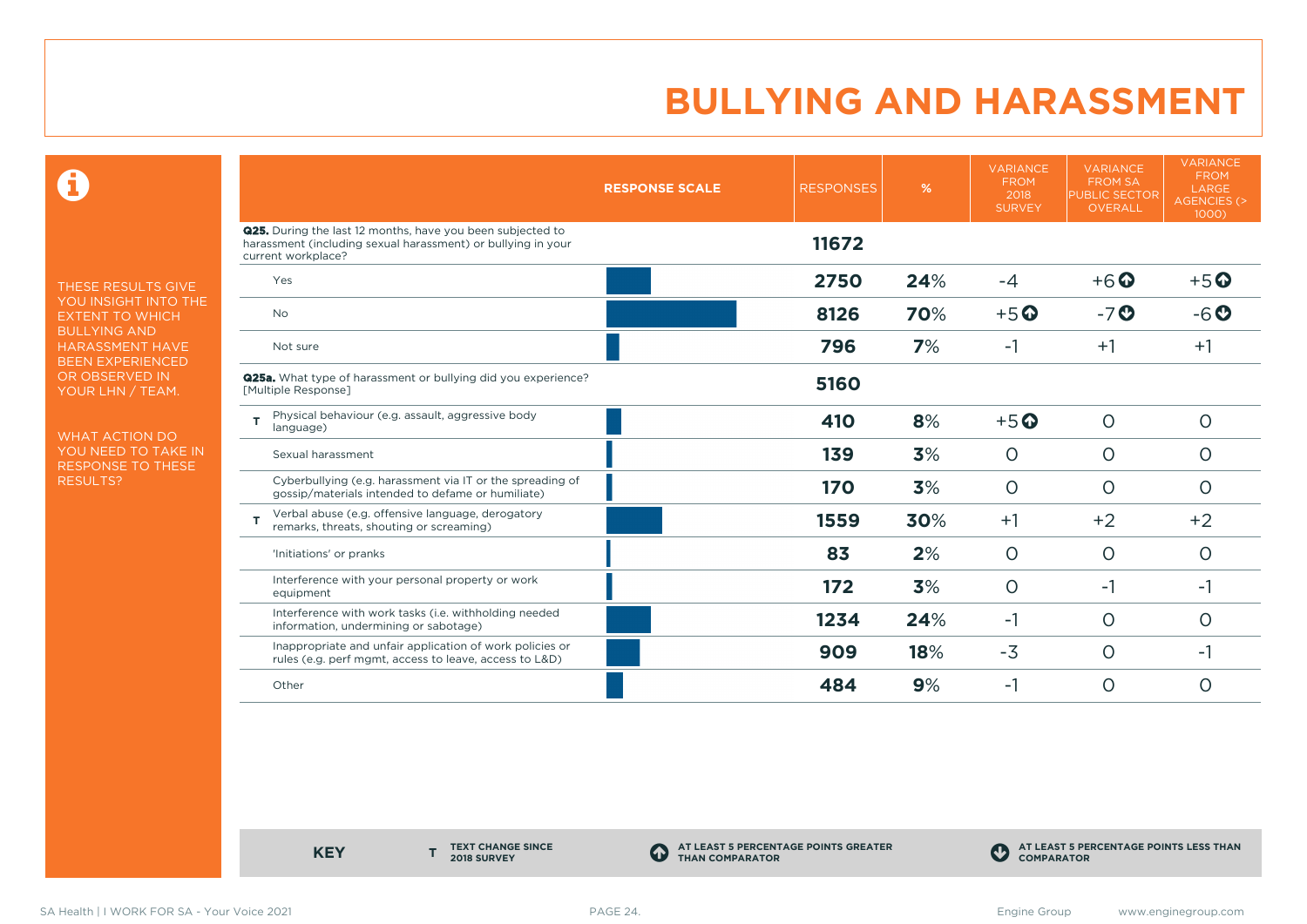0

THESE RESULTS GIVE YOU INSIGHT INTO THE EXTENT TO WHICH BULLYING AND HARASSMENT HAVE BEEN EXPERIENCED OR OBSERVED IN YOUR LHN / TEAM.

WHAT ACTION DO YOU NEED TO TAKE IN RESPONSE TO THESE RESULTS?

|                                                                                                                                                         | <b>RESPONSE SCALE</b> | <b>RESPONSES</b> | %   | <b>VARIANCE</b><br><b>FROM</b><br>2018<br><b>SURVEY</b> | <b>VARIANCE</b><br><b>FROM SA</b><br><b>PUBLIC SECTOR</b><br><b>OVERALL</b> | <b>VARIANCE</b><br><b>FROM</b><br>LARGE<br><b>AGENCIES (&gt;</b><br>1000) |
|---------------------------------------------------------------------------------------------------------------------------------------------------------|-----------------------|------------------|-----|---------------------------------------------------------|-----------------------------------------------------------------------------|---------------------------------------------------------------------------|
| <b>Q25.</b> During the last 12 months, have you been subjected to<br>harassment (including sexual harassment) or bullying in your<br>current workplace? |                       | 11672            |     |                                                         |                                                                             |                                                                           |
| Yes                                                                                                                                                     |                       | 2750             | 24% | $-4$                                                    | $+6$ <sup>O</sup>                                                           | $+5$ <sup>O</sup>                                                         |
| <b>No</b>                                                                                                                                               |                       | 8126             | 70% | $+5$ <sup>O</sup>                                       | $-7o$                                                                       | $-6o$                                                                     |
| Not sure                                                                                                                                                |                       | 796              | 7%  | -1                                                      | $+1$                                                                        | $+1$                                                                      |
| <b>Q25a.</b> What type of harassment or bullying did you experience?<br>[Multiple Response]                                                             |                       | 5160             |     |                                                         |                                                                             |                                                                           |
| Physical behaviour (e.g. assault, aggressive body<br>T<br>language)                                                                                     |                       | 410              | 8%  | $+5$ <sup>O</sup>                                       | $\circ$                                                                     | $\circ$                                                                   |
| Sexual harassment                                                                                                                                       |                       | 139              | 3%  | $\circ$                                                 | $\Omega$                                                                    | $\circ$                                                                   |
| Cyberbullying (e.g. harassment via IT or the spreading of<br>gossip/materials intended to defame or humiliate)                                          |                       | 170              | 3%  | $\circ$                                                 | $\circ$                                                                     | $\circ$                                                                   |
| Verbal abuse (e.g. offensive language, derogatory<br>т<br>remarks, threats, shouting or screaming)                                                      |                       | 1559             | 30% | $+1$                                                    | $+2$                                                                        | $+2$                                                                      |
| 'Initiations' or pranks                                                                                                                                 |                       | 83               | 2%  | $\circ$                                                 | $\circ$                                                                     | $\circ$                                                                   |
| Interference with your personal property or work<br>equipment                                                                                           |                       | 172              | 3%  | $\circ$                                                 | $-1$                                                                        | $-1$                                                                      |
| Interference with work tasks (i.e. withholding needed<br>information, undermining or sabotage)                                                          |                       | 1234             | 24% | $-1$                                                    | $\circ$                                                                     | $\circ$                                                                   |
| Inappropriate and unfair application of work policies or<br>rules (e.g. perf mgmt, access to leave, access to L&D)                                      |                       | 909              | 18% | $-3$                                                    | $\Omega$                                                                    | -1                                                                        |
| Other                                                                                                                                                   |                       | 484              | 9%  | $-1$                                                    | O                                                                           | O                                                                         |

**KEY** 

**TEXT CHANGE SINCE 2018 SURVEY**

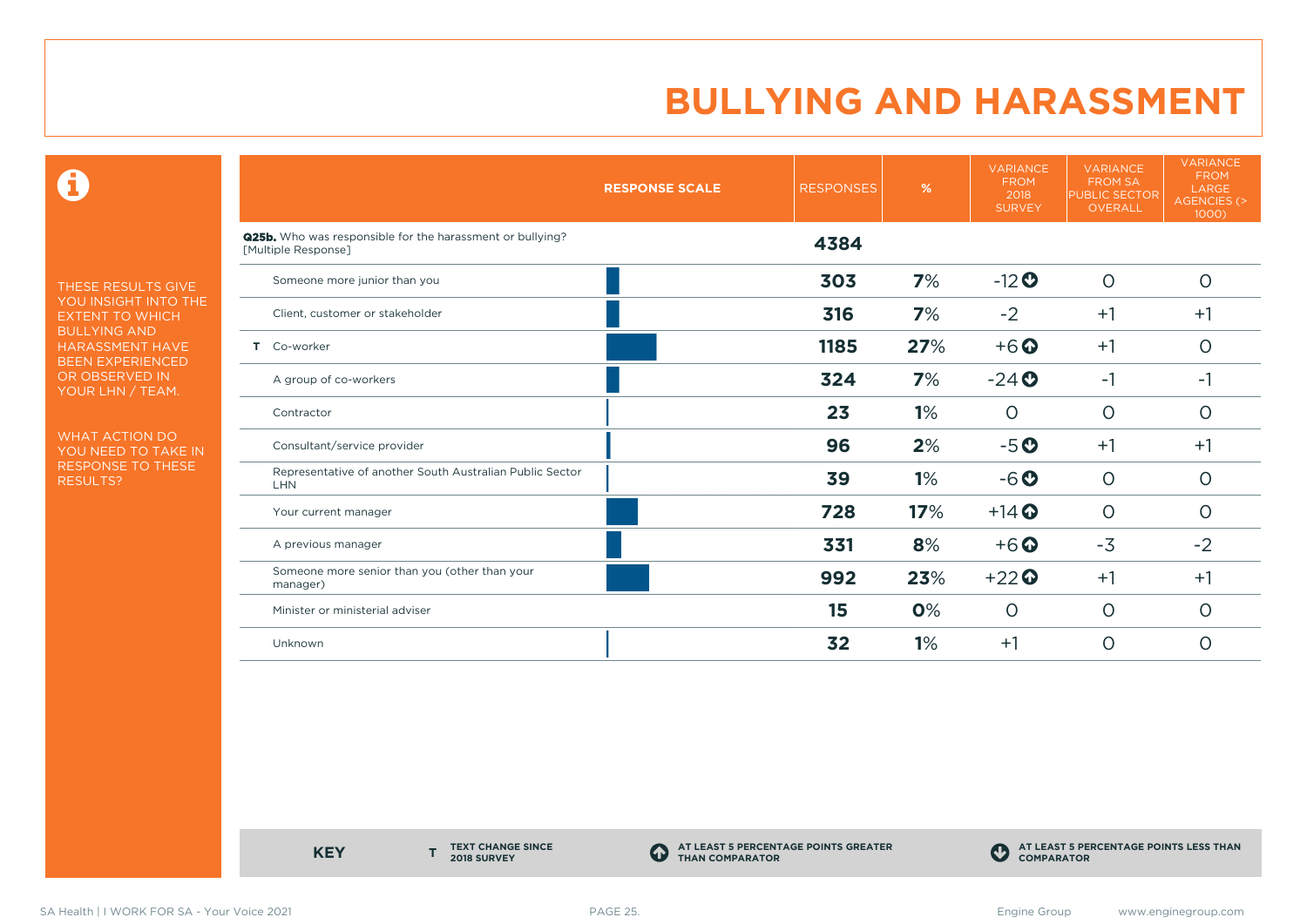$\mathbf \Omega$ 

THESE RESULTS GIVE YOU INSIGHT INTO THE EXTENT TO WHICH BULLYING AND HARASSMENT HAVE BEEN EXPERIENCED OR OBSERVED IN YOUR LHN / TEAM.

WHAT ACTION DO YOU NEED TO TAKE IN RESPONSE TO THESE RESULTS?

|                                                                                  | <b>RESPONSE SCALE</b> | <b>RESPONSES</b> | $\%$ | <b>VARIANCE</b><br><b>FROM</b><br>2018<br><b>SURVEY</b> | <b>VARIANCE</b><br><b>FROM SA</b><br><b>PUBLIC SECTOR</b><br><b>OVERALL</b> | <b>VARIANCE</b><br><b>FROM</b><br>LARGE<br><b>AGENCIES (&gt;</b><br>1000) |
|----------------------------------------------------------------------------------|-----------------------|------------------|------|---------------------------------------------------------|-----------------------------------------------------------------------------|---------------------------------------------------------------------------|
| Q25b. Who was responsible for the harassment or bullying?<br>[Multiple Response] |                       | 4384             |      |                                                         |                                                                             |                                                                           |
| Someone more junior than you                                                     |                       | 303              | 7%   | $-12$ <sup>O</sup>                                      | $\circ$                                                                     | $\circ$                                                                   |
| Client, customer or stakeholder                                                  |                       | 316              | 7%   | $-2$                                                    | $+1$                                                                        | $+1$                                                                      |
| Co-worker<br>Τ.                                                                  |                       | 1185             | 27%  | $+6$ <sup>O</sup>                                       | $+1$                                                                        | $\circ$                                                                   |
| A group of co-workers                                                            |                       | 324              | 7%   | $-24$                                                   | $-1$                                                                        | -1                                                                        |
| Contractor                                                                       |                       | 23               | 1%   | $\circ$                                                 | $\circ$                                                                     | $\circ$                                                                   |
| Consultant/service provider                                                      |                       | 96               | 2%   | $-5o$                                                   | $+1$                                                                        | $+1$                                                                      |
| Representative of another South Australian Public Sector<br><b>LHN</b>           |                       | 39               | 1%   | $-6o$                                                   | $\circ$                                                                     | $\circ$                                                                   |
| Your current manager                                                             |                       | 728              | 17%  | $+14$ $\odot$                                           | $\circ$                                                                     | $\circ$                                                                   |
| A previous manager                                                               |                       | 331              | 8%   | $+6$ $\odot$                                            | $-3$                                                                        | $-2$                                                                      |
| Someone more senior than you (other than your<br>manager)                        |                       | 992              | 23%  | $+22$                                                   | $+1$                                                                        | $+1$                                                                      |
| Minister or ministerial adviser                                                  |                       | 15               | 0%   | $\circ$                                                 | $\circ$                                                                     | $\circ$                                                                   |
| Unknown                                                                          |                       | 32               | 1%   | $+1$                                                    | $\circ$                                                                     | $\overline{O}$                                                            |

**KEY** 

**TEXT CHANGE SINCE 2018 SURVEY**

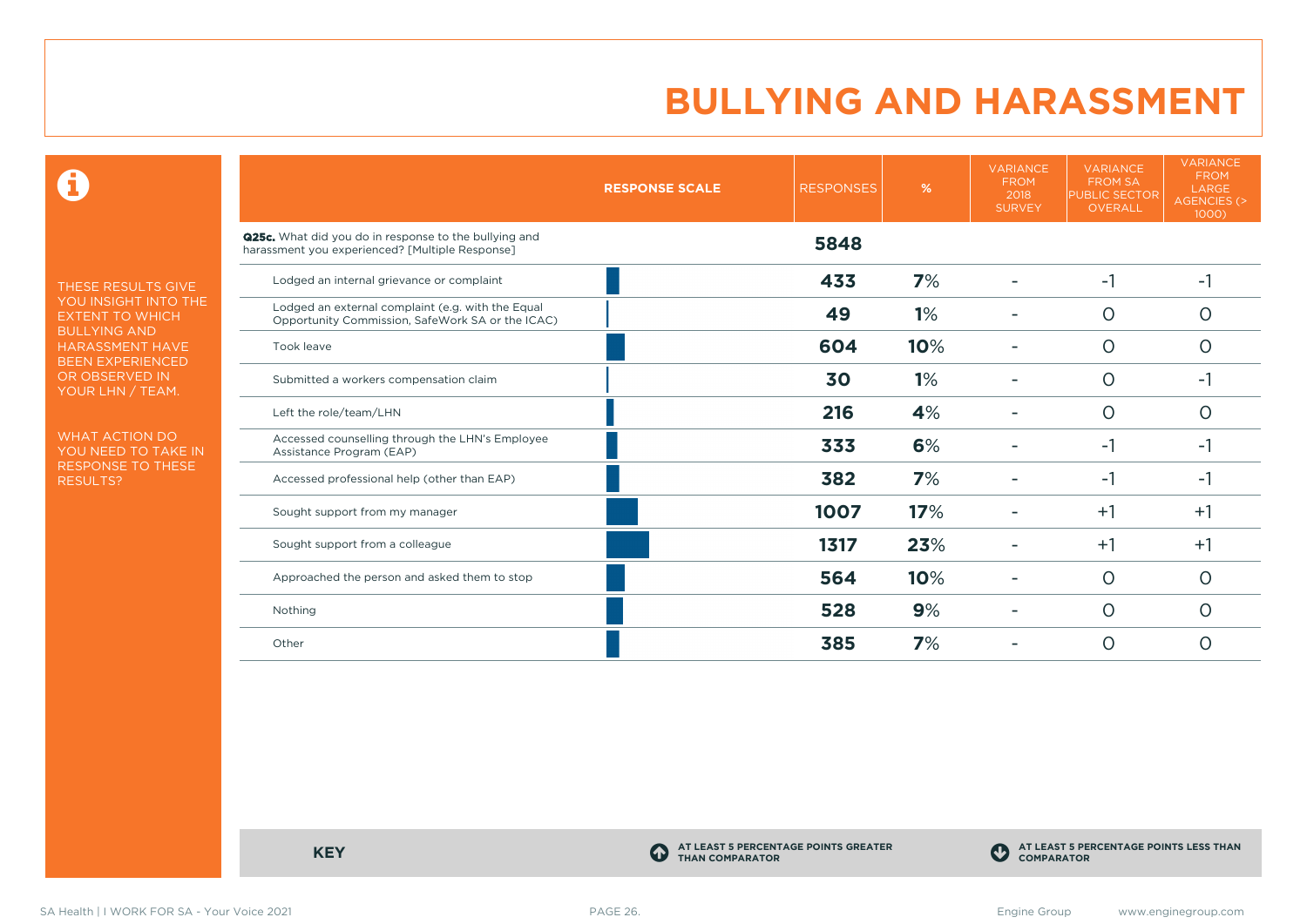0

THESE RESULTS GIVE YOU INSIGHT INTO THE EXTENT TO WHICH BULLYING AND HARASSMENT HAVE BEEN EXPERIENCED OR OBSERVED IN YOUR LHN / TEAM.

WHAT ACTION DO YOU NEED TO TAKE IN RESPONSE TO THESE RESULTS?

|                                                                                                          | <b>RESPONSE SCALE</b> | <b>RESPONSES</b> | %   | <b>VARIANCE</b><br><b>FROM</b><br>2018<br><b>SURVEY</b> | <b>VARIANCE</b><br><b>FROM SA</b><br><b>PUBLIC SECTOR</b><br><b>OVERALL</b> | <b>VARIANCE</b><br><b>FROM</b><br>LARGE<br><b>AGENCIES (&gt;</b><br>$1000$ ) |
|----------------------------------------------------------------------------------------------------------|-----------------------|------------------|-----|---------------------------------------------------------|-----------------------------------------------------------------------------|------------------------------------------------------------------------------|
| Q25c. What did you do in response to the bullying and<br>harassment you experienced? [Multiple Response] |                       | 5848             |     |                                                         |                                                                             |                                                                              |
| Lodged an internal grievance or complaint                                                                |                       | 433              | 7%  |                                                         | $-1$                                                                        | -1                                                                           |
| Lodged an external complaint (e.g. with the Equal<br>Opportunity Commission, SafeWork SA or the ICAC)    |                       | 49               | 1%  |                                                         | $\Omega$                                                                    | O                                                                            |
| Took leave                                                                                               |                       | 604              | 10% | ۰                                                       | $\circ$                                                                     | $\Omega$                                                                     |
| Submitted a workers compensation claim                                                                   |                       | 30               | 1%  |                                                         | O                                                                           | -1                                                                           |
| Left the role/team/LHN                                                                                   |                       | 216              | 4%  |                                                         | $\circ$                                                                     | O                                                                            |
| Accessed counselling through the LHN's Employee<br>Assistance Program (EAP)                              |                       | 333              | 6%  |                                                         | $-1$                                                                        | -1                                                                           |
| Accessed professional help (other than EAP)                                                              |                       | 382              | 7%  |                                                         | $-1$                                                                        | -1                                                                           |
| Sought support from my manager                                                                           |                       | 1007             | 17% |                                                         | $+1$                                                                        | $+1$                                                                         |
| Sought support from a colleague                                                                          |                       | 1317             | 23% |                                                         | $+1$                                                                        | $+1$                                                                         |
| Approached the person and asked them to stop                                                             |                       | 564              | 10% |                                                         | $\circ$                                                                     | $\circ$                                                                      |
| Nothing                                                                                                  |                       | 528              | 9%  |                                                         | O                                                                           | O                                                                            |
| Other                                                                                                    |                       | 385              | 7%  |                                                         | $\Omega$                                                                    | Ω                                                                            |

**KEY C** 

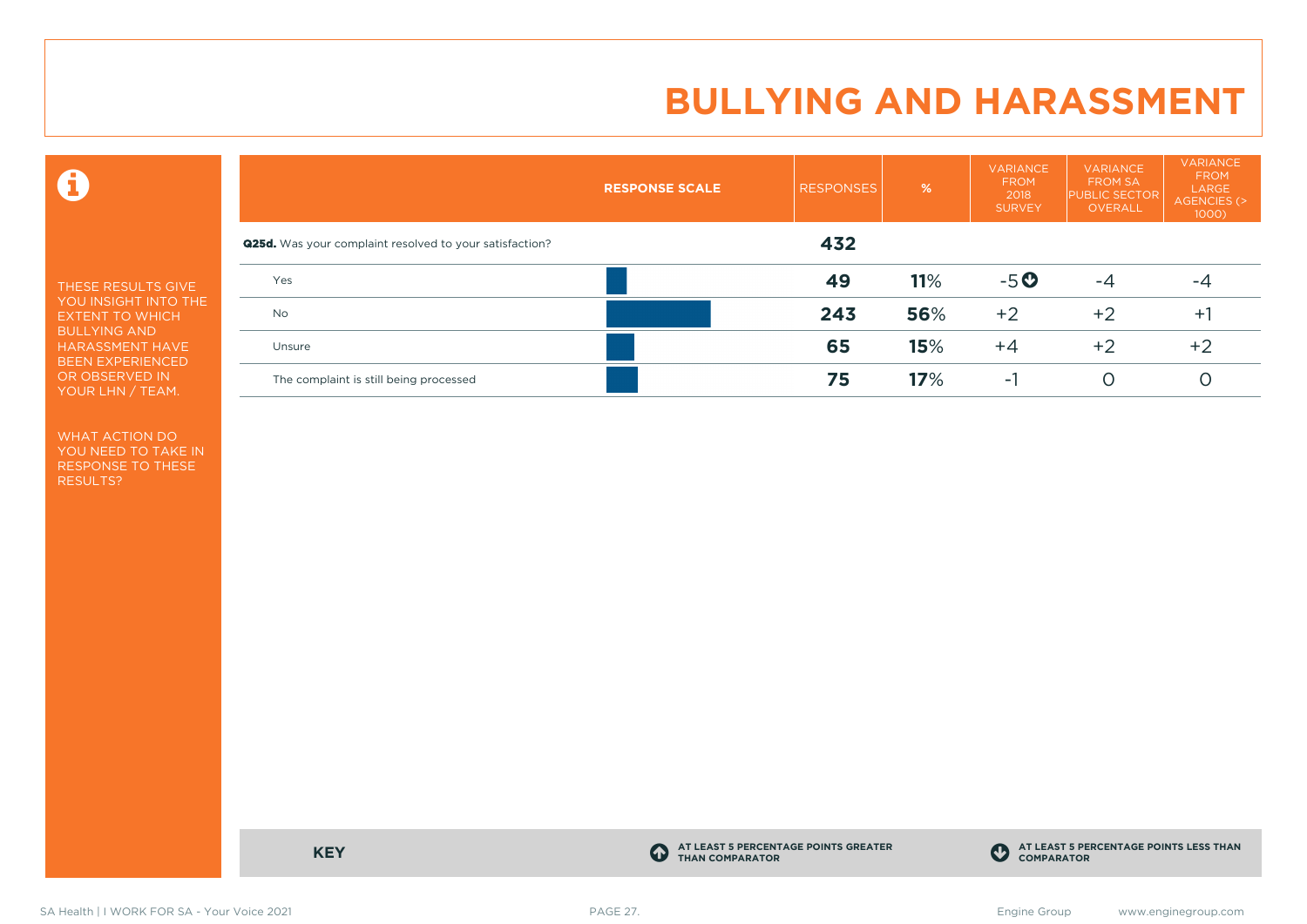$\mathbf \Omega$ 

THESE RESULTS GIVE YOU INSIGHT INTO THE EXTENT TO WHICH BULLYING AND HARASSMENT HAVE BEEN EXPERIENCED OR OBSERVED IN YOUR LHN / TEAM.

WHAT ACTION DO YOU NEED TO TAKE IN RESPONSE TO THESE RESULTS?

|                                                                | <b>RESPONSE SCALE</b> | <b>RESPONSES</b> | $\sqrt{26}$ | <b>VARIANCE</b><br><b>FROM</b><br>2018<br><b>SURVEY</b> | <b>VARIANCE</b><br><b>FROM SA</b><br><b>PUBLIC SECTOR</b><br>OVERALL | <b>VARIANCE</b><br><b>FROM</b><br>LARGE<br>AGENCIES (><br>$1000$ ) |
|----------------------------------------------------------------|-----------------------|------------------|-------------|---------------------------------------------------------|----------------------------------------------------------------------|--------------------------------------------------------------------|
| <b>Q25d.</b> Was your complaint resolved to your satisfaction? |                       | 432              |             |                                                         |                                                                      |                                                                    |
| Yes                                                            |                       | 49               | 11%         | $-5o$                                                   | -4                                                                   | -4                                                                 |
| <b>No</b>                                                      |                       | 243              | 56%         | $+2$                                                    | $+2$                                                                 | $+$                                                                |
| Unsure                                                         |                       | 65               | 15%         | $+4$                                                    | $+2$                                                                 | $+2$                                                               |
| The complaint is still being processed                         |                       | 75               | 17%         | ۰.                                                      |                                                                      |                                                                    |

**KEY C** 

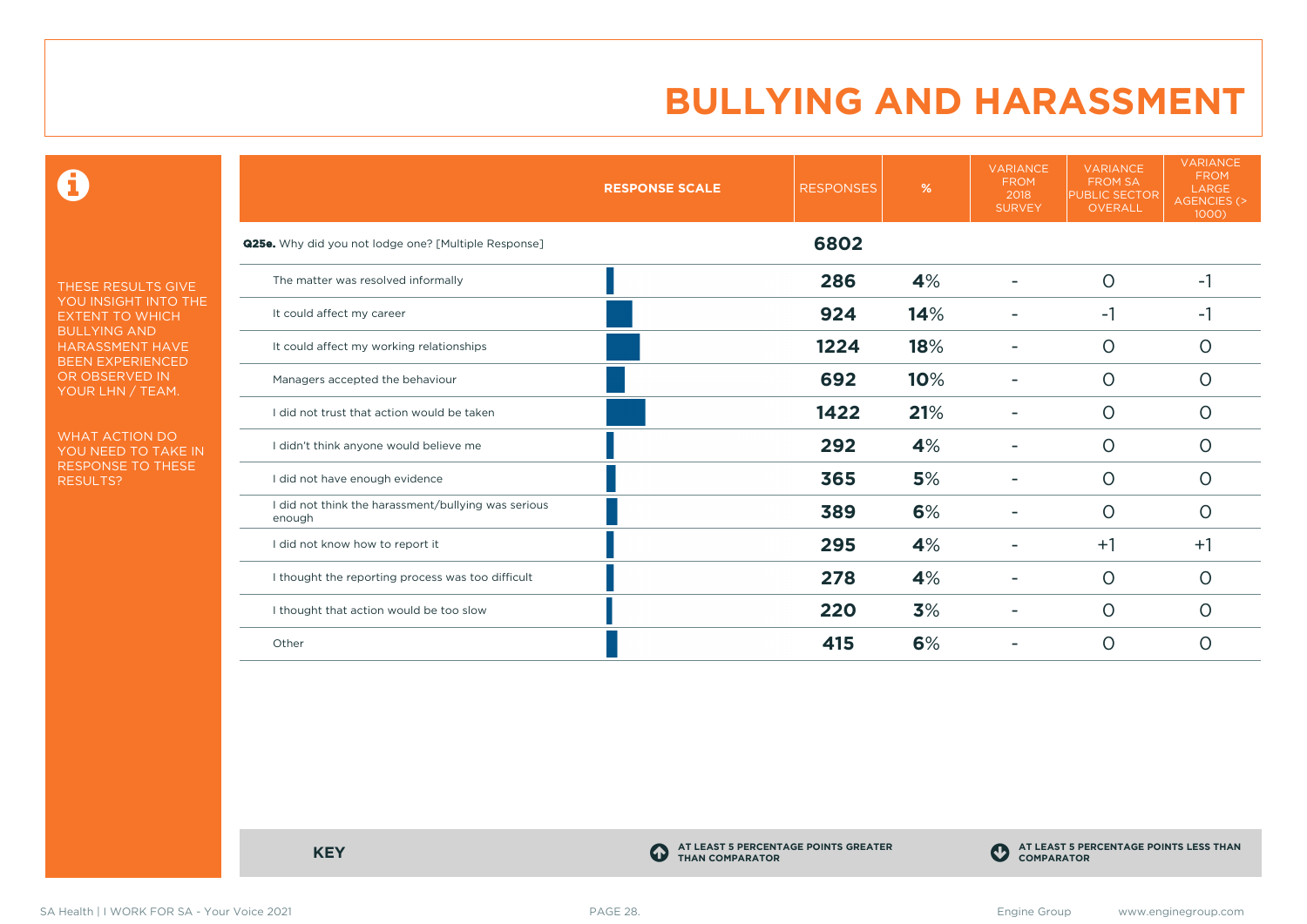0

THESE RESULTS GIVE YOU INSIGHT INTO THE EXTENT TO WHICH BULLYING AND HARASSMENT HAVE BEEN EXPERIENCED OR OBSERVED IN YOUR LHN / TEAM.

WHAT ACTION DO YOU NEED TO TAKE IN RESPONSE TO THESE RESULTS?

|                                                               | <b>RESPONSE SCALE</b> | <b>RESPONSES</b> | %   | <b>VARIANCE</b><br><b>FROM</b><br>2018<br><b>SURVEY</b> | <b>VARIANCE</b><br><b>FROM SA</b><br><b>PUBLIC SECTOR</b><br>OVERALL | <b>VARIANCE</b><br><b>FROM</b><br>LARGE<br><b>AGENCIES (&gt;</b><br>1000) |
|---------------------------------------------------------------|-----------------------|------------------|-----|---------------------------------------------------------|----------------------------------------------------------------------|---------------------------------------------------------------------------|
| <b>Q25e.</b> Why did you not lodge one? [Multiple Response]   |                       | 6802             |     |                                                         |                                                                      |                                                                           |
| The matter was resolved informally                            |                       | 286              | 4%  | ۰                                                       | $\circ$                                                              | $-1$                                                                      |
| It could affect my career                                     |                       | 924              | 14% |                                                         | $-1$                                                                 | -1                                                                        |
| It could affect my working relationships                      |                       | 1224             | 18% |                                                         | $\circ$                                                              | $\circ$                                                                   |
| Managers accepted the behaviour                               |                       | 692              | 10% |                                                         | $\circ$                                                              | O                                                                         |
| I did not trust that action would be taken                    |                       | 1422             | 21% |                                                         | $\circ$                                                              | $\circ$                                                                   |
| I didn't think anyone would believe me                        |                       | 292              | 4%  |                                                         | $\circ$                                                              | Ω                                                                         |
| I did not have enough evidence                                |                       | 365              | 5%  |                                                         | $\Omega$                                                             | $\Omega$                                                                  |
| I did not think the harassment/bullying was serious<br>enough |                       | 389              | 6%  | ۰                                                       | $\circ$                                                              | $\circ$                                                                   |
| I did not know how to report it                               |                       | 295              | 4%  |                                                         | $+1$                                                                 | $+1$                                                                      |
| I thought the reporting process was too difficult             |                       | 278              | 4%  | ۰                                                       | $\circ$                                                              | $\circ$                                                                   |
| I thought that action would be too slow                       |                       | 220              | 3%  |                                                         | $\circ$                                                              | Ω                                                                         |
| Other                                                         |                       | 415              | 6%  |                                                         | $\circ$                                                              | Ω                                                                         |

**KEY C** 

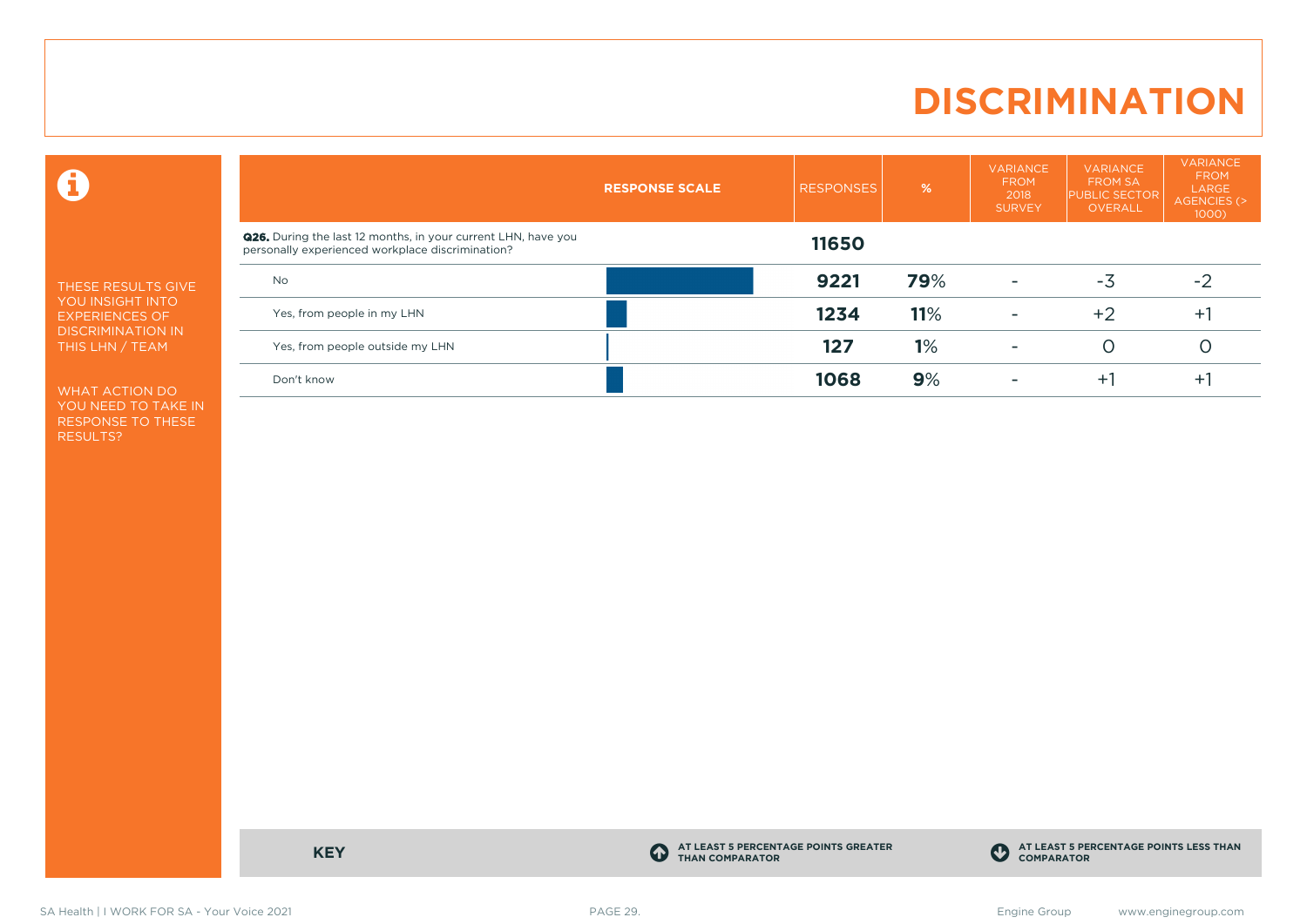# **DISCRIMINATION**

 $\mathbf \Theta$ 

THESE RESULTS GIVE YOU INSIGHT INTO EXPERIENCES OF DISCRIMINATION IN THIS LHN / TEAM

WHAT ACTION DO YOU NEED TO TAKE IN RESPONSE TO THESE RESULTS?

|                                                                                                                          | <b>RESPONSE SCALE</b> | <b>RESPONSES</b> | %   | <b>VARIANCE</b><br><b>FROM</b><br>2018<br><b>SURVEY</b> | <b>VARIANCE</b><br><b>FROM SA</b><br><b>PUBLIC SECTOR</b><br><b>OVERALL</b> | <b>VARIANCE</b><br><b>FROM</b><br>LARGE<br>AGENCIES (><br>$1000$ ) |
|--------------------------------------------------------------------------------------------------------------------------|-----------------------|------------------|-----|---------------------------------------------------------|-----------------------------------------------------------------------------|--------------------------------------------------------------------|
| <b>Q26.</b> During the last 12 months, in your current LHN, have you<br>personally experienced workplace discrimination? |                       | 11650            |     |                                                         |                                                                             |                                                                    |
| No                                                                                                                       |                       | 9221             | 79% |                                                         | $-3$                                                                        | $-2$                                                               |
| Yes, from people in my LHN                                                                                               |                       | 1234             | 11% | $\overline{\phantom{0}}$                                | $+2$                                                                        | $+$                                                                |
| Yes, from people outside my LHN                                                                                          |                       | 127              | 1%  |                                                         |                                                                             |                                                                    |
| Don't know                                                                                                               |                       | 1068             | 9%  |                                                         | $+1$                                                                        | ÷.                                                                 |

**KEY C** 

**AT LEAST 5 PERCENTAGE POINTS GREATER THAN COMPARATOR**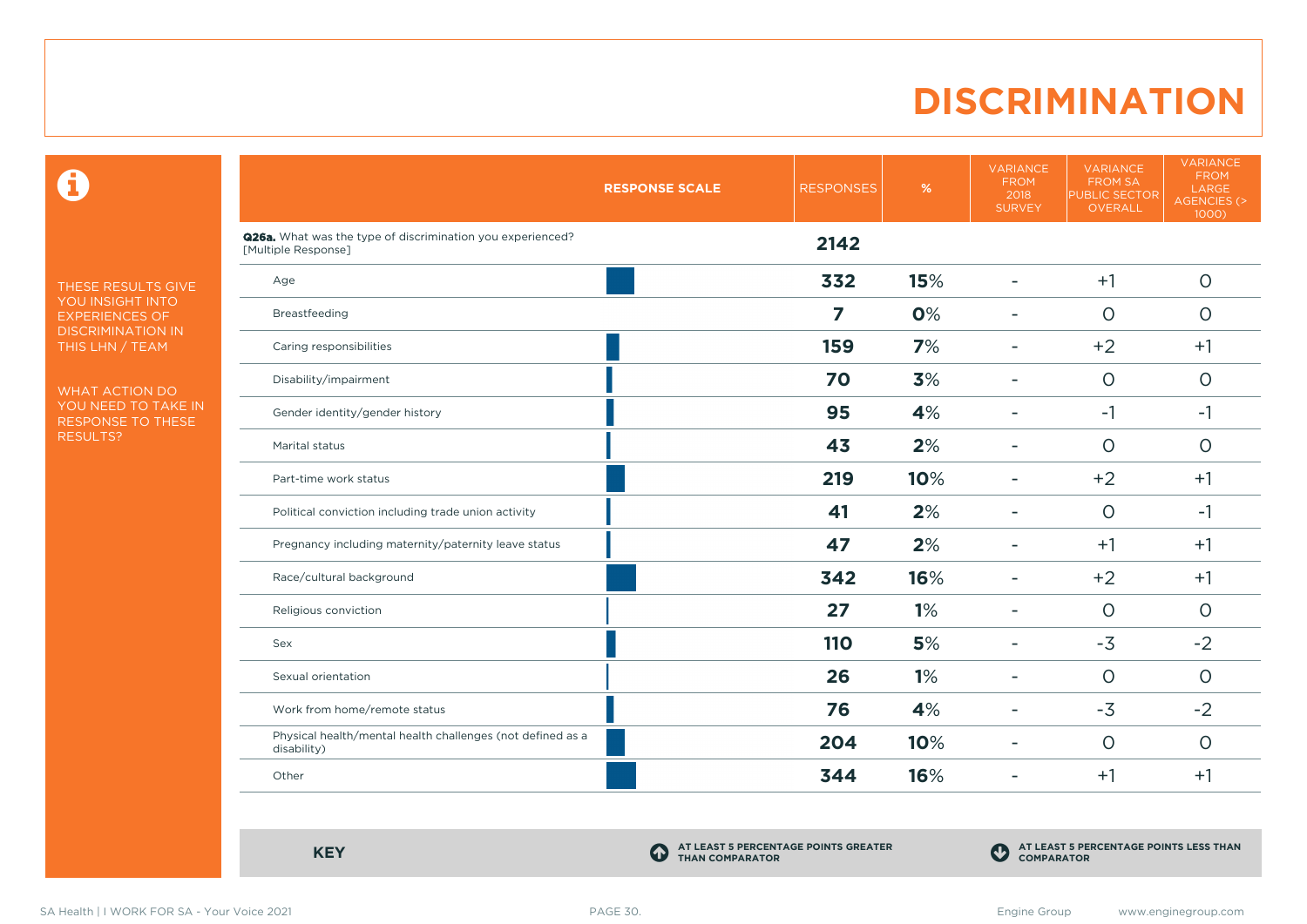### **DISCRIMINATION**

 $\mathbf \Theta$ 

THESE RESULTS GIVE YOU INSIGHT INTO EXPERIENCES OF DISCRIMINATION IN THIS LHN / TEAM

WHAT ACTION DO YOU NEED TO TAKE IN RESPONSE TO THESE RESULTS?

|                                                                                          | <b>RESPONSE SCALE</b> | <b>RESPONSES</b> | $\%$ | <b>VARIANCE</b><br><b>FROM</b><br>2018<br><b>SURVEY</b> | <b>VARIANCE</b><br><b>FROM SA</b><br>PUBLIC SECTOR<br><b>OVERALL</b> | <b>VARIANCE</b><br><b>FROM</b><br>LARGE<br><b>AGENCIES (&gt;</b><br>1000) |
|------------------------------------------------------------------------------------------|-----------------------|------------------|------|---------------------------------------------------------|----------------------------------------------------------------------|---------------------------------------------------------------------------|
| <b>Q26a.</b> What was the type of discrimination you experienced?<br>[Multiple Response] |                       | 2142             |      |                                                         |                                                                      |                                                                           |
| Age                                                                                      |                       | 332              | 15%  | ÷                                                       | $+1$                                                                 | 0                                                                         |
| Breastfeeding                                                                            |                       | $\overline{7}$   | 0%   | $\overline{\phantom{a}}$                                | $\circ$                                                              | $\circ$                                                                   |
| Caring responsibilities                                                                  |                       | 159              | 7%   | $\overline{\phantom{0}}$                                | $+2$                                                                 | $+1$                                                                      |
| Disability/impairment                                                                    |                       | 70               | 3%   | $\blacksquare$                                          | $\circ$                                                              | $\circ$                                                                   |
| Gender identity/gender history                                                           |                       | 95               | 4%   | $\overline{\phantom{0}}$                                | $-1$                                                                 | $-1$                                                                      |
| Marital status                                                                           |                       | 43               | 2%   | $\blacksquare$                                          | $\circ$                                                              | $\circ$                                                                   |
| Part-time work status                                                                    |                       | 219              | 10%  | ۰                                                       | $+2$                                                                 | $+1$                                                                      |
| Political conviction including trade union activity                                      |                       | 41               | 2%   |                                                         | $\circ$                                                              | $-1$                                                                      |
| Pregnancy including maternity/paternity leave status                                     |                       | 47               | 2%   | ÷                                                       | $+1$                                                                 | $+1$                                                                      |
| Race/cultural background                                                                 |                       | 342              | 16%  | ÷                                                       | $+2$                                                                 | $+1$                                                                      |
| Religious conviction                                                                     |                       | 27               | 1%   | ۰                                                       | $\circ$                                                              | $\circ$                                                                   |
| Sex                                                                                      |                       | 110              | 5%   | ۰                                                       | $-3$                                                                 | $-2$                                                                      |
| Sexual orientation                                                                       |                       | 26               | 1%   | $\overline{\phantom{0}}$                                | $\circ$                                                              | $\Omega$                                                                  |
| Work from home/remote status                                                             |                       | 76               | 4%   | $\blacksquare$                                          | $-3$                                                                 | $-2$                                                                      |
| Physical health/mental health challenges (not defined as a<br>disability)                |                       | 204              | 10%  | $\blacksquare$                                          | $\circ$                                                              | $\circ$                                                                   |
| Other                                                                                    |                       | 344              | 16%  | $\overline{a}$                                          | $+1$                                                                 | $+1$                                                                      |

**KEY C** 

**AT LEAST 5 PERCENTAGE POINTS GREATER THAN COMPARATOR**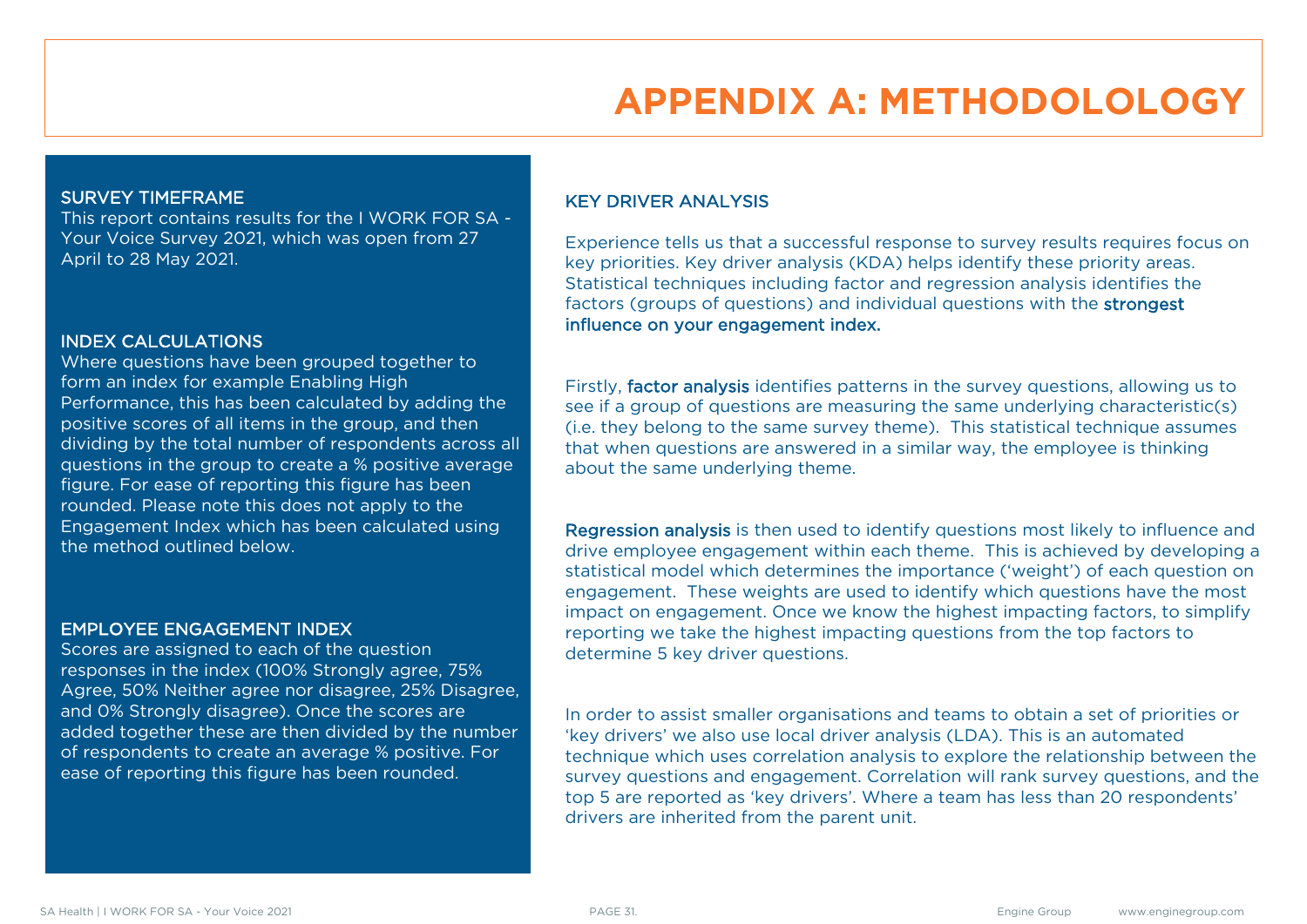# **APPENDIX A: METHODOLOLOGY**

#### SURVEY TIMEFRAME

This report contains results for the I WORK FOR SA - Your Voice Survey 2021, which was open from 27 April to 28 May 2021.

#### INDEX CALCULATIONS

Where questions have been grouped together to form an index for example Enabling High Performance, this has been calculated by adding the positive scores of all items in the group, and then dividing by the total number of respondents across all questions in the group to create a % positive average figure. For ease of reporting this figure has been rounded. Please note this does not apply to the Engagement Index which has been calculated using the method outlined below.

#### EMPLOYEE ENGAGEMENT INDEX

Scores are assigned to each of the question responses in the index (100% Strongly agree, 75% Agree, 50% Neither agree nor disagree, 25% Disagree, and 0% Strongly disagree). Once the scores are added together these are then divided by the number of respondents to create an average % positive. For ease of reporting this figure has been rounded.

#### KEY DRIVER ANALYSIS

Experience tells us that a successful response to survey results requires focus on key priorities. Key driver analysis (KDA) helps identify these priority areas. Statistical techniques including factor and regression analysis identifies the factors (groups of questions) and individual questions with the strongest influence on your engagement index.

Firstly, factor analysis identifies patterns in the survey questions, allowing us to see if a group of questions are measuring the same underlying characteristic(s) (i.e. they belong to the same survey theme). This statistical technique assumes that when questions are answered in a similar way, the employee is thinking about the same underlying theme.

Regression analysis is then used to identify questions most likely to influence and drive employee engagement within each theme. This is achieved by developing a statistical model which determines the importance ('weight') of each question on engagement. These weights are used to identify which questions have the most impact on engagement. Once we know the highest impacting factors, to simplify reporting we take the highest impacting questions from the top factors to determine 5 key driver questions.

In order to assist smaller organisations and teams to obtain a set of priorities or 'key drivers' we also use local driver analysis (LDA). This is an automated technique which uses correlation analysis to explore the relationship between the survey questions and engagement. Correlation will rank survey questions, and the top 5 are reported as 'key drivers'. Where a team has less than 20 respondents' drivers are inherited from the parent unit.